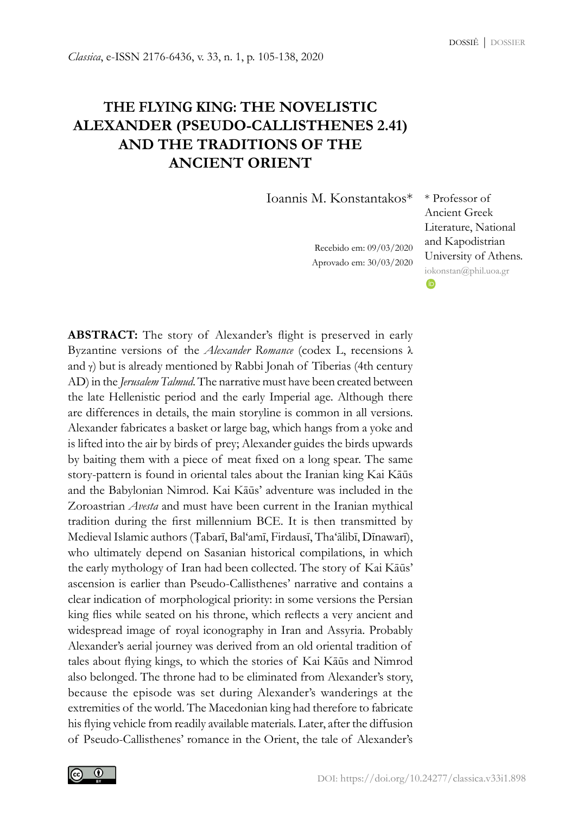# **THE FLYING KING: THE NOVELISTIC ALEXANDER (PSEUDO-CALLISTHENES 2.41) AND THE TRADITIONS OF THE ANCIENT ORIENT**

Ioannis M. Konstantakos\* \* Professor of

Recebido em: 09/03/2020 Aprovado em: 30/03/2020

Ancient Greek Literature, National and Kapodistrian University of Athens. [iokonstan@phil.uoa.gr](mailto:iokonstan@phil.uoa.gr)**ID** 

**ABSTRACT:** The story of Alexander's flight is preserved in early Byzantine versions of the *Alexander Romance* (codex L, recensions λ and  $\gamma$ ) but is already mentioned by Rabbi Jonah of Tiberias (4th century AD) in the *Jerusalem Talmud*. The narrative must have been created between the late Hellenistic period and the early Imperial age. Although there are differences in details, the main storyline is common in all versions. Alexander fabricates a basket or large bag, which hangs from a yoke and is lifted into the air by birds of prey; Alexander guides the birds upwards by baiting them with a piece of meat fixed on a long spear. The same story-pattern is found in oriental tales about the Iranian king Kai Kāūs and the Babylonian Nimrod. Kai Kāūs' adventure was included in the Zoroastrian *Avesta* and must have been current in the Iranian mythical tradition during the first millennium BCE. It is then transmitted by Medieval Islamic authors (Ṭabarī, Bal'amī, Firdausī, Tha'ālibī, Dīnawarī), who ultimately depend on Sasanian historical compilations, in which the early mythology of Iran had been collected. The story of Kai Kāūs' ascension is earlier than Pseudo-Callisthenes' narrative and contains a clear indication of morphological priority: in some versions the Persian king flies while seated on his throne, which reflects a very ancient and widespread image of royal iconography in Iran and Assyria. Probably Alexander's aerial journey was derived from an old oriental tradition of tales about flying kings, to which the stories of Kai Kāūs and Nimrod also belonged. The throne had to be eliminated from Alexander's story, because the episode was set during Alexander's wanderings at the extremities of the world. The Macedonian king had therefore to fabricate his flying vehicle from readily available materials. Later, after the diffusion of Pseudo-Callisthenes' romance in the Orient, the tale of Alexander's

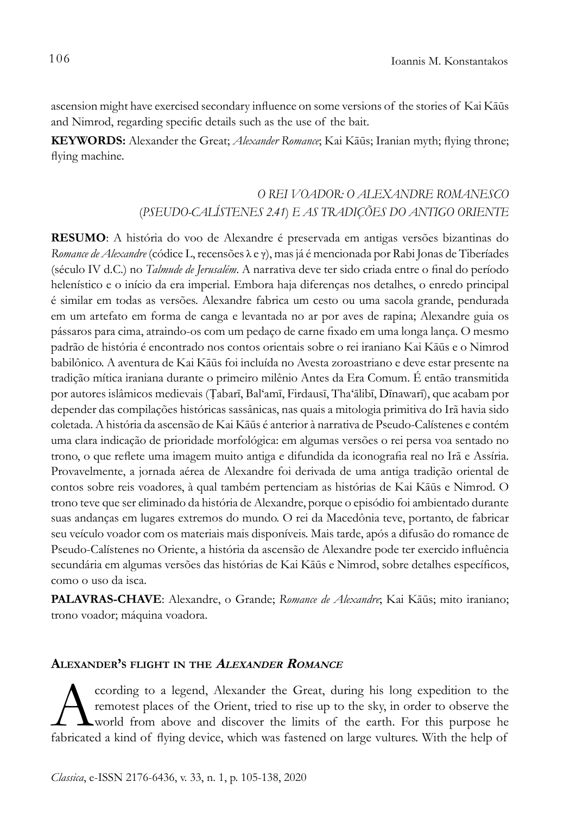ascension might have exercised secondary influence on some versions of the stories of Kai Kāūs and Nimrod, regarding specific details such as the use of the bait.

**KEYWORDS:** Alexander the Great; *Alexander Romance*; Kai Kāūs; Iranian myth; flying throne; flying machine.

# *O REI VOADOR: O ALEXANDRE ROMANESCO*  (*PSEUDO-CALÍSTENES 2.41*) *E AS TRADIÇÕES DO ANTIGO ORIENTE*

**RESUMO**: A história do voo de Alexandre é preservada em antigas versões bizantinas do *Romance de Alexandre* (códice L, recensões λ e γ), mas já é mencionada por Rabi Jonas de Tiberíades (século IV d.C.) no *Talmude de Jerusalém*. A narrativa deve ter sido criada entre o final do período helenístico e o início da era imperial. Embora haja diferenças nos detalhes, o enredo principal é similar em todas as versões. Alexandre fabrica um cesto ou uma sacola grande, pendurada em um artefato em forma de canga e levantada no ar por aves de rapina; Alexandre guia os pássaros para cima, atraindo-os com um pedaço de carne fixado em uma longa lança. O mesmo padrão de história é encontrado nos contos orientais sobre o rei iraniano Kai Kāūs e o Nimrod babilônico. A aventura de Kai Kāūs foi incluída no Avesta zoroastriano e deve estar presente na tradição mítica iraniana durante o primeiro milênio Antes da Era Comum. É então transmitida por autores islâmicos medievais (Ṭabarī, Bal'amī, Firdausī, Tha'ālibī, Dīnawarī), que acabam por depender das compilações históricas sassânicas, nas quais a mitologia primitiva do Irã havia sido coletada. A história da ascensão de Kai Kāūs é anterior à narrativa de Pseudo-Calístenes e contém uma clara indicação de prioridade morfológica: em algumas versões o rei persa voa sentado no trono, o que reflete uma imagem muito antiga e difundida da iconografia real no Irã e Assíria. Provavelmente, a jornada aérea de Alexandre foi derivada de uma antiga tradição oriental de contos sobre reis voadores, à qual também pertenciam as histórias de Kai Kāūs e Nimrod. O trono teve que ser eliminado da história de Alexandre, porque o episódio foi ambientado durante suas andanças em lugares extremos do mundo. O rei da Macedônia teve, portanto, de fabricar seu veículo voador com os materiais mais disponíveis. Mais tarde, após a difusão do romance de Pseudo-Calístenes no Oriente, a história da ascensão de Alexandre pode ter exercido influência secundária em algumas versões das histórias de Kai Kāūs e Nimrod, sobre detalhes específicos, como o uso da isca.

**PALAVRAS-CHAVE**: Alexandre, o Grande; *Romance de Alexandre*; Kai Kāūs; mito iraniano; trono voador; máquina voadora.

## **Alexander's flight in the <sup>A</sup>lexander <sup>R</sup>omance**

cording to a legend, Alexander the Great, during his long expedition to the remotest places of the Orient, tried to rise up to the sky, in order to observe the world from above and discover the limits of the earth. For thi remotest places of the Orient, tried to rise up to the sky, in order to observe the world from above and discover the limits of the earth. For this purpose he fabricated a kind of flying device, which was fastened on large vultures. With the help of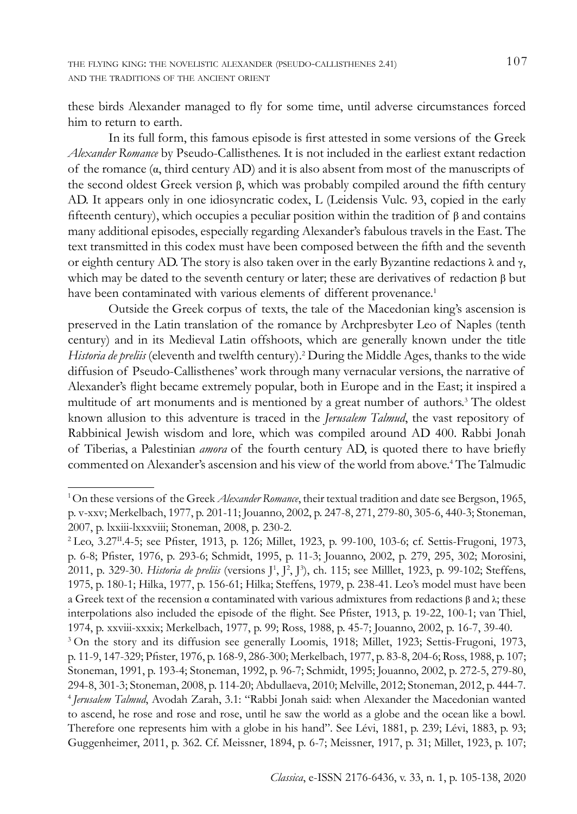these birds Alexander managed to fly for some time, until adverse circumstances forced him to return to earth.

In its full form, this famous episode is first attested in some versions of the Greek *Alexander Romance* by Pseudo-Callisthenes. It is not included in the earliest extant redaction of the romance (α, third century AD) and it is also absent from most of the manuscripts of the second oldest Greek version β, which was probably compiled around the fifth century AD. It appears only in one idiosyncratic codex, L (Leidensis Vulc. 93, copied in the early fifteenth century), which occupies a peculiar position within the tradition of β and contains many additional episodes, especially regarding Alexander's fabulous travels in the East. The text transmitted in this codex must have been composed between the fifth and the seventh or eighth century AD. The story is also taken over in the early Byzantine redactions λ and γ, which may be dated to the seventh century or later; these are derivatives of redaction  $\beta$  but have been contaminated with various elements of different provenance.<sup>1</sup>

Outside the Greek corpus of texts, the tale of the Macedonian king's ascension is preserved in the Latin translation of the romance by Archpresbyter Leo of Naples (tenth century) and in its Medieval Latin offshoots, which are generally known under the title *Historia de preliis* (eleventh and twelfth century).2 During the Middle Ages, thanks to the wide diffusion of Pseudo-Callisthenes' work through many vernacular versions, the narrative of Alexander's flight became extremely popular, both in Europe and in the East; it inspired a multitude of art monuments and is mentioned by a great number of authors.3 The oldest known allusion to this adventure is traced in the *Jerusalem Talmud*, the vast repository of Rabbinical Jewish wisdom and lore, which was compiled around AD 400. Rabbi Jonah of Tiberias, a Palestinian *amora* of the fourth century AD, is quoted there to have briefly commented on Alexander's ascension and his view of the world from above.4 The Talmudic

<sup>1</sup> On these versions of the Greek *Alexander Romance*, their textual tradition and date see Bergson, 1965, p. v-xxv; Merkelbach, 1977, p. 201-11; Jouanno, 2002, p. 247-8, 271, 279-80, 305-6, 440-3; Stoneman, 2007, p. lxxiii-lxxxviii; Stoneman, 2008, p. 230-2.

<sup>&</sup>lt;sup>2</sup> Leo, 3.27<sup>II</sup>.4-5; see Pfister, 1913, p. 126; Millet, 1923, p. 99-100, 103-6; cf. Settis-Frugoni, 1973, p. 6-8; Pfister, 1976, p. 293-6; Schmidt, 1995, p. 11-3; Jouanno, 2002, p. 279, 295, 302; Morosini, 2011, p. 329-30. *Historia de preliis* (versions J<sup>1</sup>, J<sup>2</sup>, J<sup>3</sup>), ch. 115; see Milllet, 1923, p. 99-102; Steffens, 1975, p. 180-1; Hilka, 1977, p. 156-61; Hilka; Steffens, 1979, p. 238-41. Leo's model must have been a Greek text of the recension  $\alpha$  contaminated with various admixtures from redactions  $\beta$  and λ; these interpolations also included the episode of the flight. See Pfister, 1913, p. 19-22, 100-1; van Thiel, 1974, p. xxviii-xxxix; Merkelbach, 1977, p. 99; Ross, 1988, p. 45-7; Jouanno, 2002, p. 16-7, 39-40.

<sup>3</sup>On the story and its diffusion see generally Loomis, 1918; Millet, 1923; Settis-Frugoni, 1973, p. 11-9, 147-329; Pfister, 1976, p. 168-9, 286-300; Merkelbach, 1977, p. 83-8, 204-6; Ross, 1988, p. 107; Stoneman, 1991, p. 193-4; Stoneman, 1992, p. 96-7; Schmidt, 1995; Jouanno, 2002, p. 272-5, 279-80, 294-8, 301-3; Stoneman, 2008, p. 114-20; Abdullaeva, 2010; Melville, 2012; Stoneman, 2012, p. 444-7. <sup>4</sup>*Jerusalem Talmud*, Avodah Zarah, 3.1: "Rabbi Jonah said: when Alexander the Macedonian wanted to ascend, he rose and rose and rose, until he saw the world as a globe and the ocean like a bowl. Therefore one represents him with a globe in his hand". See Lévi, 1881, p. 239; Lévi, 1883, p. 93; Guggenheimer, 2011, p. 362. Cf. Meissner, 1894, p. 6-7; Meissner, 1917, p. 31; Millet, 1923, p. 107;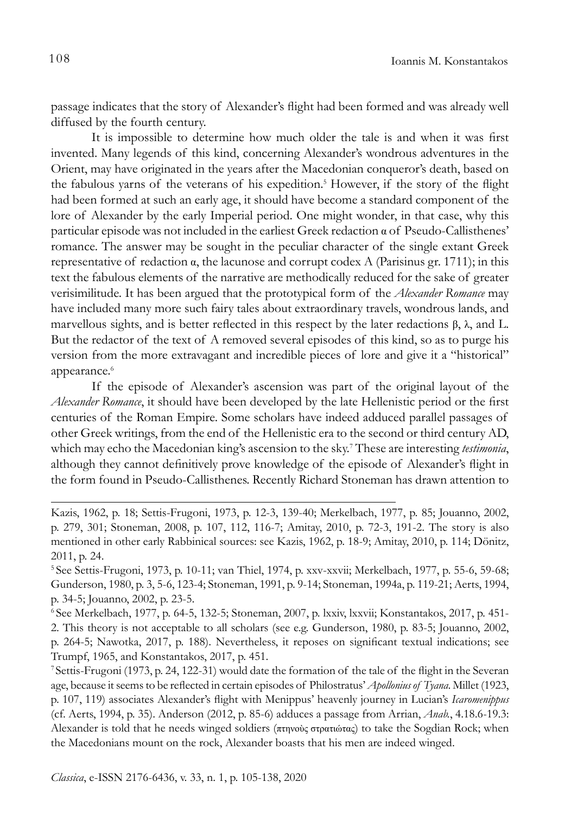passage indicates that the story of Alexander's flight had been formed and was already well diffused by the fourth century.

It is impossible to determine how much older the tale is and when it was first invented. Many legends of this kind, concerning Alexander's wondrous adventures in the Orient, may have originated in the years after the Macedonian conqueror's death, based on the fabulous yarns of the veterans of his expedition.<sup>5</sup> However, if the story of the flight had been formed at such an early age, it should have become a standard component of the lore of Alexander by the early Imperial period. One might wonder, in that case, why this particular episode was not included in the earliest Greek redaction α of Pseudo-Callisthenes' romance. The answer may be sought in the peculiar character of the single extant Greek representative of redaction α, the lacunose and corrupt codex A (Parisinus gr. 1711); in this text the fabulous elements of the narrative are methodically reduced for the sake of greater verisimilitude. It has been argued that the prototypical form of the *Alexander Romance* may have included many more such fairy tales about extraordinary travels, wondrous lands, and marvellous sights, and is better reflected in this respect by the later redactions β,  $\lambda$ , and L. But the redactor of the text of A removed several episodes of this kind, so as to purge his version from the more extravagant and incredible pieces of lore and give it a "historical" appearance.<sup>6</sup>

If the episode of Alexander's ascension was part of the original layout of the *Alexander Romance*, it should have been developed by the late Hellenistic period or the first centuries of the Roman Empire. Some scholars have indeed adduced parallel passages of other Greek writings, from the end of the Hellenistic era to the second or third century AD, which may echo the Macedonian king's ascension to the sky.7 These are interesting *testimonia*, although they cannot definitively prove knowledge of the episode of Alexander's flight in the form found in Pseudo-Callisthenes. Recently Richard Stoneman has drawn attention to

Kazis, 1962, p. 18; Settis-Frugoni, 1973, p. 12-3, 139-40; Merkelbach, 1977, p. 85; Jouanno, 2002, p. 279, 301; Stoneman, 2008, p. 107, 112, 116-7; Amitay, 2010, p. 72-3, 191-2. The story is also mentioned in other early Rabbinical sources: see Kazis, 1962, p. 18-9; Amitay, 2010, p. 114; Dönitz, 2011, p. 24.

<sup>5</sup>See Settis-Frugoni, 1973, p. 10-11; van Thiel, 1974, p. xxv-xxvii; Merkelbach, 1977, p. 55-6, 59-68; Gunderson, 1980, p. 3, 5-6, 123-4; Stoneman, 1991, p. 9-14; Stoneman, 1994a, p. 119-21; Aerts, 1994, p. 34-5; Jouanno, 2002, p. 23-5.

<sup>6</sup> See Merkelbach, 1977, p. 64-5, 132-5; Stoneman, 2007, p. lxxiv, lxxvii; Konstantakos, 2017, p. 451- 2. This theory is not acceptable to all scholars (see e.g. Gunderson, 1980, p. 83-5; Jouanno, 2002, p. 264-5; Nawotka, 2017, p. 188). Nevertheless, it reposes on significant textual indications; see Trumpf, 1965, and Konstantakos, 2017, p. 451.

<sup>7</sup>Settis-Frugoni (1973, p. 24, 122-31) would date the formation of the tale of the flight in the Severan age, because it seems to be reflected in certain episodes of Philostratus' *Apollonius of Tyana*. Millet (1923, p. 107, 119) associates Alexander's flight with Menippus' heavenly journey in Lucian's *Icaromenippus* (cf. Aerts, 1994, p. 35). Anderson (2012, p. 85-6) adduces a passage from Arrian, *Anab.*, 4.18.6-19.3: Alexander is told that he needs winged soldiers (πτηνοὺς στρατιώτας) to take the Sogdian Rock; when the Macedonians mount on the rock, Alexander boasts that his men are indeed winged.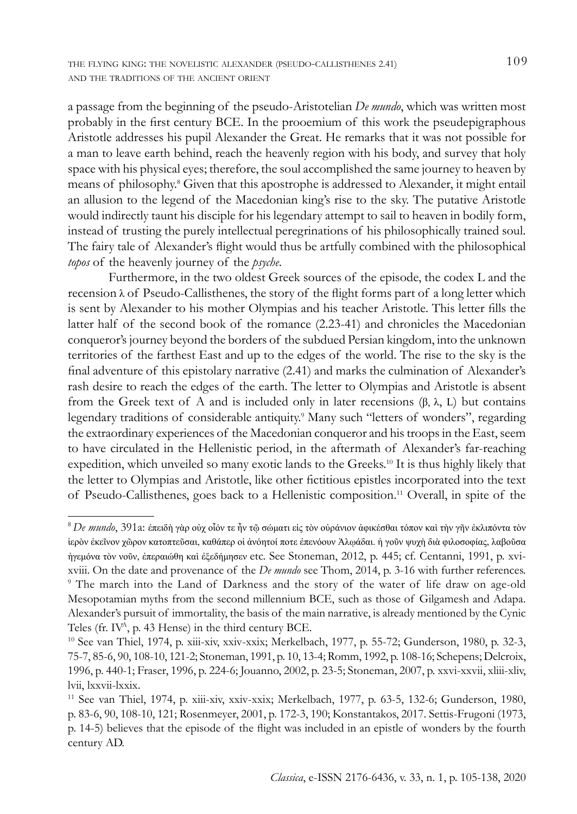the flying king: the novelistic alexander (pseudo-callisthenes 2.41) 109 and the traditions of the ancient orient

a passage from the beginning of the pseudo-Aristotelian *De mundo*, which was written most probably in the first century BCE. In the prooemium of this work the pseudepigraphous Aristotle addresses his pupil Alexander the Great. He remarks that it was not possible for a man to leave earth behind, reach the heavenly region with his body, and survey that holy space with his physical eyes; therefore, the soul accomplished the same journey to heaven by means of philosophy.8 Given that this apostrophe is addressed to Alexander, it might entail an allusion to the legend of the Macedonian king's rise to the sky. The putative Aristotle would indirectly taunt his disciple for his legendary attempt to sail to heaven in bodily form, instead of trusting the purely intellectual peregrinations of his philosophically trained soul. The fairy tale of Alexander's flight would thus be artfully combined with the philosophical *topos* of the heavenly journey of the *psyche*.

Furthermore, in the two oldest Greek sources of the episode, the codex L and the recension  $\lambda$  of Pseudo-Callisthenes, the story of the flight forms part of a long letter which is sent by Alexander to his mother Olympias and his teacher Aristotle. This letter fills the latter half of the second book of the romance (2.23-41) and chronicles the Macedonian conqueror's journey beyond the borders of the subdued Persian kingdom, into the unknown territories of the farthest East and up to the edges of the world. The rise to the sky is the final adventure of this epistolary narrative (2.41) and marks the culmination of Alexander's rash desire to reach the edges of the earth. The letter to Olympias and Aristotle is absent from the Greek text of A and is included only in later recensions (β, λ, L) but contains legendary traditions of considerable antiquity.<sup>9</sup> Many such "letters of wonders", regarding the extraordinary experiences of the Macedonian conqueror and his troops in the East, seem to have circulated in the Hellenistic period, in the aftermath of Alexander's far-reaching expedition, which unveiled so many exotic lands to the Greeks.10 It is thus highly likely that the letter to Olympias and Aristotle, like other fictitious epistles incorporated into the text of Pseudo-Callisthenes, goes back to a Hellenistic composition.11 Overall, in spite of the

<sup>8</sup>*De mundo*, 391a: ἐπειδὴ γὰρ οὐχ οἷόν τε ἦν τῷ σώματι εἰς τὸν οὐράνιον ἀφικέσθαι τόπον καὶ τὴν γῆν ἐκλιπόντα τὸν ἱερὸν ἐκεῖνον χῶρον κατοπτεῦσαι, καθάπερ οἱ ἀνόητοί ποτε ἐπενόουν Ἀλῳάδαι. ἡ γοῦν ψυχὴ διὰ φιλοσοφίας, λαβοῦσα ἡγεμόνα τὸν νοῦν, ἐπεραιώθη καὶ ἐξεδήμησεν etc. See Stoneman, 2012, p. 445; cf. Centanni, 1991, p. xvixviii. On the date and provenance of the *De mundo* see Thom, 2014, p. 3-16 with further references. 9 The march into the Land of Darkness and the story of the water of life draw on age-old Mesopotamian myths from the second millennium BCE, such as those of Gilgamesh and Adapa. Alexander's pursuit of immortality, the basis of the main narrative, is already mentioned by the Cynic Teles (fr.  $IV^A$ , p. 43 Hense) in the third century BCE.

<sup>10</sup> See van Thiel, 1974, p. xiii-xiv, xxiv-xxix; Merkelbach, 1977, p. 55-72; Gunderson, 1980, p. 32-3, 75-7, 85-6, 90, 108-10, 121-2; Stoneman, 1991, p. 10, 13-4; Romm, 1992, p. 108-16; Schepens; Delcroix, 1996, p. 440-1; Fraser, 1996, p. 224-6; Jouanno, 2002, p. 23-5; Stoneman, 2007, p. xxvi-xxvii, xliii-xliv, lvii, lxxvii-lxxix.

<sup>11</sup> See van Thiel, 1974, p. xiii-xiv, xxiv-xxix; Merkelbach, 1977, p. 63-5, 132-6; Gunderson, 1980, p. 83-6, 90, 108-10, 121; Rosenmeyer, 2001, p. 172-3, 190; Konstantakos, 2017. Settis-Frugoni (1973, p. 14-5) believes that the episode of the flight was included in an epistle of wonders by the fourth century AD.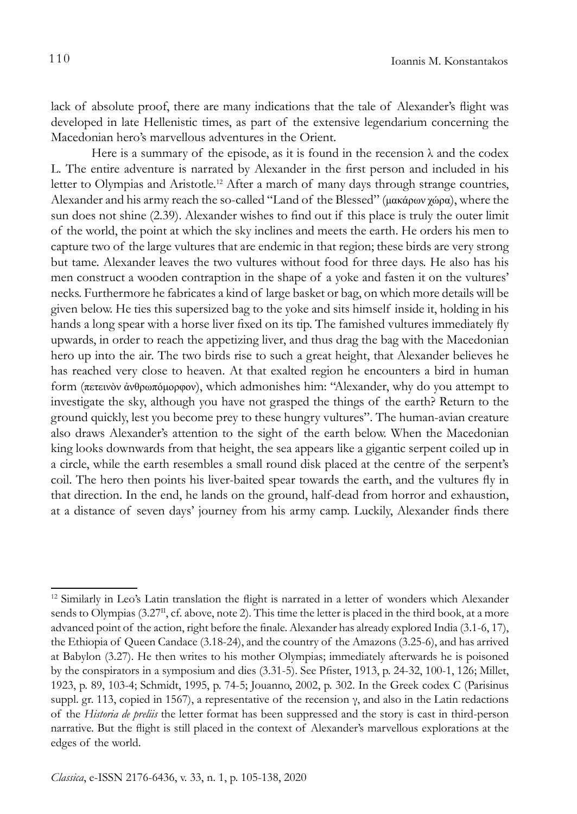lack of absolute proof, there are many indications that the tale of Alexander's flight was developed in late Hellenistic times, as part of the extensive legendarium concerning the Macedonian hero's marvellous adventures in the Orient.

Here is a summary of the episode, as it is found in the recension  $\lambda$  and the codex L. The entire adventure is narrated by Alexander in the first person and included in his letter to Olympias and Aristotle.<sup>12</sup> After a march of many days through strange countries, Alexander and his army reach the so-called "Land of the Blessed" (μακάρων χώρα), where the sun does not shine (2.39). Alexander wishes to find out if this place is truly the outer limit of the world, the point at which the sky inclines and meets the earth. He orders his men to capture two of the large vultures that are endemic in that region; these birds are very strong but tame. Alexander leaves the two vultures without food for three days. He also has his men construct a wooden contraption in the shape of a yoke and fasten it on the vultures' necks. Furthermore he fabricates a kind of large basket or bag, on which more details will be given below. He ties this supersized bag to the yoke and sits himself inside it, holding in his hands a long spear with a horse liver fixed on its tip. The famished vultures immediately fly upwards, in order to reach the appetizing liver, and thus drag the bag with the Macedonian hero up into the air. The two birds rise to such a great height, that Alexander believes he has reached very close to heaven. At that exalted region he encounters a bird in human form (πετεινὸν ἀνθρωπόμορφον), which admonishes him: "Alexander, why do you attempt to investigate the sky, although you have not grasped the things of the earth? Return to the ground quickly, lest you become prey to these hungry vultures". The human-avian creature also draws Alexander's attention to the sight of the earth below. When the Macedonian king looks downwards from that height, the sea appears like a gigantic serpent coiled up in a circle, while the earth resembles a small round disk placed at the centre of the serpent's coil. The hero then points his liver-baited spear towards the earth, and the vultures fly in that direction. In the end, he lands on the ground, half-dead from horror and exhaustion, at a distance of seven days' journey from his army camp. Luckily, Alexander finds there

<sup>&</sup>lt;sup>12</sup> Similarly in Leo's Latin translation the flight is narrated in a letter of wonders which Alexander sends to Olympias  $(3.27^{\text{II}}, \text{cf.}$  above, note 2). This time the letter is placed in the third book, at a more advanced point of the action, right before the finale. Alexander has already explored India (3.1-6, 17), the Ethiopia of Queen Candace (3.18-24), and the country of the Amazons (3.25-6), and has arrived at Babylon (3.27). He then writes to his mother Olympias; immediately afterwards he is poisoned by the conspirators in a symposium and dies (3.31-5). See Pfister, 1913, p. 24-32, 100-1, 126; Millet, 1923, p. 89, 103-4; Schmidt, 1995, p. 74-5; Jouanno, 2002, p. 302. In the Greek codex C (Parisinus suppl. gr. 113, copied in 1567), a representative of the recension γ, and also in the Latin redactions of the *Historia de preliis* the letter format has been suppressed and the story is cast in third-person narrative. But the flight is still placed in the context of Alexander's marvellous explorations at the edges of the world.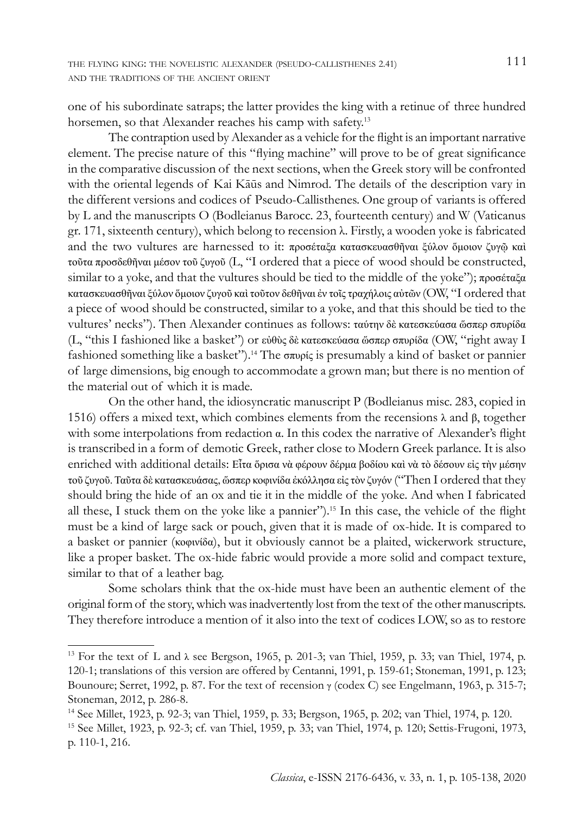one of his subordinate satraps; the latter provides the king with a retinue of three hundred horsemen, so that Alexander reaches his camp with safety.<sup>13</sup>

The contraption used by Alexander as a vehicle for the flight is an important narrative element. The precise nature of this "flying machine" will prove to be of great significance in the comparative discussion of the next sections, when the Greek story will be confronted with the oriental legends of Kai Kāūs and Nimrod. The details of the description vary in the different versions and codices of Pseudo-Callisthenes. One group of variants is offered by L and the manuscripts O (Bodleianus Barocc. 23, fourteenth century) and W (Vaticanus gr. 171, sixteenth century), which belong to recension λ. Firstly, a wooden yoke is fabricated and the two vultures are harnessed to it: προσέταξα κατασκευασθῆναι ξύλον ὅμοιον ζυγῷ καὶ τοῦτα προσδεθῆναι μέσον τοῦ ζυγοῦ (L, "I ordered that a piece of wood should be constructed, similar to a yoke, and that the vultures should be tied to the middle of the yoke"); προσέταξα κατασκευασθῆναι ξύλον ὅμοιον ζυγοῦ καὶ τοῦτον δεθῆναι ἐν τοῖς τραχήλοις αὐτῶν (OW, "I ordered that a piece of wood should be constructed, similar to a yoke, and that this should be tied to the vultures' necks"). Then Alexander continues as follows: ταύτην δὲ κατεσκεύασα ὥσπερ σπυρίδα (L, "this I fashioned like a basket") or εὐθὺς δὲ κατεσκεύασα ὥσπερ σπυρίδα (OW, "right away I fashioned something like a basket").14 The σπυρίς is presumably a kind of basket or pannier of large dimensions, big enough to accommodate a grown man; but there is no mention of the material out of which it is made.

On the other hand, the idiosyncratic manuscript P (Bodleianus misc. 283, copied in 1516) offers a mixed text, which combines elements from the recensions λ and β, together with some interpolations from redaction α. In this codex the narrative of Alexander's flight is transcribed in a form of demotic Greek, rather close to Modern Greek parlance. It is also enriched with additional details: Εἶτα ὅρισα νὰ φέρουν δέρμα βοδίου καὶ νὰ τὸ δέσουν εἰς τὴν μέσην τοῦ ζυγοῦ. Ταῦτα δὲ κατασκευάσας, ὥσπερ κοφινίδα ἐκόλλησα εἰς τὸν ζυγόν ("Then I ordered that they should bring the hide of an ox and tie it in the middle of the yoke. And when I fabricated all these, I stuck them on the yoke like a pannier").<sup>15</sup> In this case, the vehicle of the flight must be a kind of large sack or pouch, given that it is made of ox-hide. It is compared to a basket or pannier (κοφινίδα), but it obviously cannot be a plaited, wickerwork structure, like a proper basket. The ox-hide fabric would provide a more solid and compact texture, similar to that of a leather bag.

Some scholars think that the ox-hide must have been an authentic element of the original form of the story, which was inadvertently lost from the text of the other manuscripts. They therefore introduce a mention of it also into the text of codices LOW, so as to restore

<sup>&</sup>lt;sup>13</sup> For the text of L and  $\lambda$  see Bergson, 1965, p. 201-3; van Thiel, 1959, p. 33; van Thiel, 1974, p. 120-1; translations of this version are offered by Centanni, 1991, p. 159-61; Stoneman, 1991, p. 123; Bounoure; Serret, 1992, p. 87. For the text of recension γ (codex C) see Engelmann, 1963, p. 315-7; Stoneman, 2012, p. 286-8.

<sup>14</sup> See Millet, 1923, p. 92-3; van Thiel, 1959, p. 33; Bergson, 1965, p. 202; van Thiel, 1974, p. 120.

<sup>15</sup> See Millet, 1923, p. 92-3; cf. van Thiel, 1959, p. 33; van Thiel, 1974, p. 120; Settis-Frugoni, 1973, p. 110-1, 216.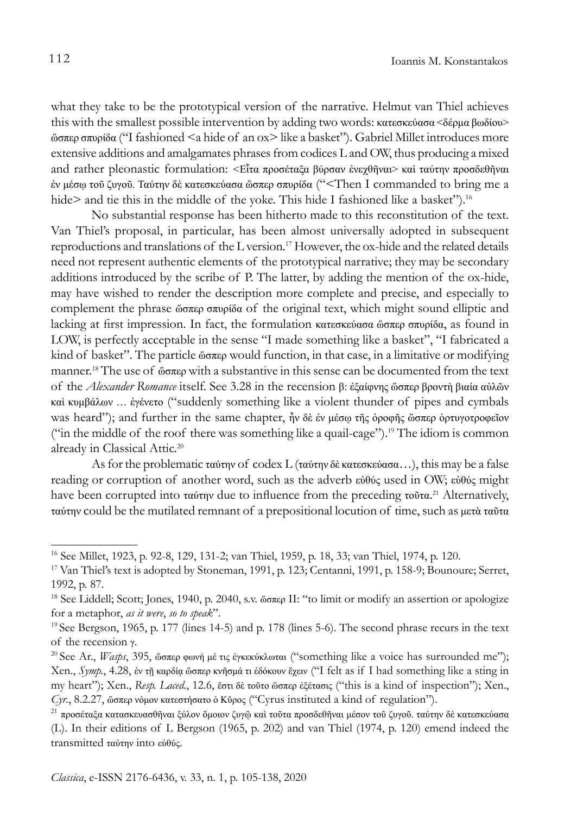what they take to be the prototypical version of the narrative. Helmut van Thiel achieves this with the smallest possible intervention by adding two words: κατεσκεύασα <δέρμα βωδίου> ὥσπερ σπυρίδα ("I fashioned <a hide of an ox> like a basket"). Gabriel Millet introduces more extensive additions and amalgamates phrases from codices L and OW, thus producing a mixed and rather pleonastic formulation: <Εἶτα προσέταξα βύρσαν ἐνεχθῆναι> καὶ ταύτην προσδεθῆναι ἐν μέσῳ τοῦ ζυγοῦ. Ταύτην δὲ κατεσκεύασα ὥσπερ σπυρίδα ("<Then I commanded to bring me a hide> and tie this in the middle of the yoke. This hide I fashioned like a basket").<sup>16</sup>

No substantial response has been hitherto made to this reconstitution of the text. Van Thiel's proposal, in particular, has been almost universally adopted in subsequent reproductions and translations of the L version.17 However, the ox-hide and the related details need not represent authentic elements of the prototypical narrative; they may be secondary additions introduced by the scribe of P. The latter, by adding the mention of the ox-hide, may have wished to render the description more complete and precise, and especially to complement the phrase ὥσπερ σπυρίδα of the original text, which might sound elliptic and lacking at first impression. In fact, the formulation κατεσκεύασα ὥσπερ σπυρίδα, as found in LOW, is perfectly acceptable in the sense "I made something like a basket", "I fabricated a kind of basket". The particle ὥσπερ would function, in that case, in a limitative or modifying manner.18 The use of ὥσπερ with a substantive in this sense can be documented from the text of the *Alexander Romance* itself. See 3.28 in the recension β: ἐξαίφνης ὥσπερ βροντὴ βιαία αὐλῶν καὶ κυμβάλων … ἐγένετο ("suddenly something like a violent thunder of pipes and cymbals was heard"); and further in the same chapter, ἦν δὲ ἐν μέσω τῆς ὀροφῆς ὥσπερ ὀρτυγοτροφεῖον ("in the middle of the roof there was something like a quail-cage").<sup>19</sup> The idiom is common already in Classical Attic.<sup>20</sup>

As for the problematic ταύτην of codex L (ταύτην δὲ κατεσκεύασα…), this may be a false reading or corruption of another word, such as the adverb εὐθύς used in OW; εὐθύς might have been corrupted into ταύτην due to influence from the preceding τοῦτα.<sup>21</sup> Alternatively, ταύτην could be the mutilated remnant of a prepositional locution of time, such as μετὰ ταῦτα

<sup>16</sup> See Millet, 1923, p. 92-8, 129, 131-2; van Thiel, 1959, p. 18, 33; van Thiel, 1974, p. 120.

<sup>17</sup> Van Thiel's text is adopted by Stoneman, 1991, p. 123; Centanni, 1991, p. 158-9; Bounoure; Serret, 1992, p. 87.

<sup>18</sup> See Liddell; Scott; Jones, 1940, p. 2040, s.v. ὥσπερ ΙΙ: "to limit or modify an assertion or apologize for a metaphor, *as it were*, *so to speak*".

<sup>19</sup> See Bergson, 1965, p. 177 (lines 14-5) and p. 178 (lines 5-6). The second phrase recurs in the text of the recension γ. 20 See Ar., *Wasps*, 395, ὥσπερ φωνή μέ τις ἐγκεκύκλωται ("something like a voice has surrounded me");

Xen., *Symp.*, 4.28, ἐν τῇ καρδίᾳ ὥσπερ κνῆσμά τι ἐδόκουν ἔχειν ("I felt as if I had something like a sting in my heart"); Xen., *Resp. Laced.*, 12.6, ἔστι δὲ τοῦτο ὥσπερ ἐξέτασις ("this is a kind of inspection"); Xen., *Cyr.*, 8.2.27, ὥσπερ νόμον κατεστήσατο ὁ Κῦρος ("Cyrus instituted a kind of regulation").

<sup>21</sup> προσέταξα κατασκευασθῆναι ξύλον ὅμοιον ζυγῷ καὶ τοῦτα προσδεθῆναι μέσον τοῦ ζυγοῦ. ταύτην δὲ κατεσκεύασα (L). In their editions of L Bergson (1965, p. 202) and van Thiel (1974, p. 120) emend indeed the transmitted ταύτην into εὐθύς.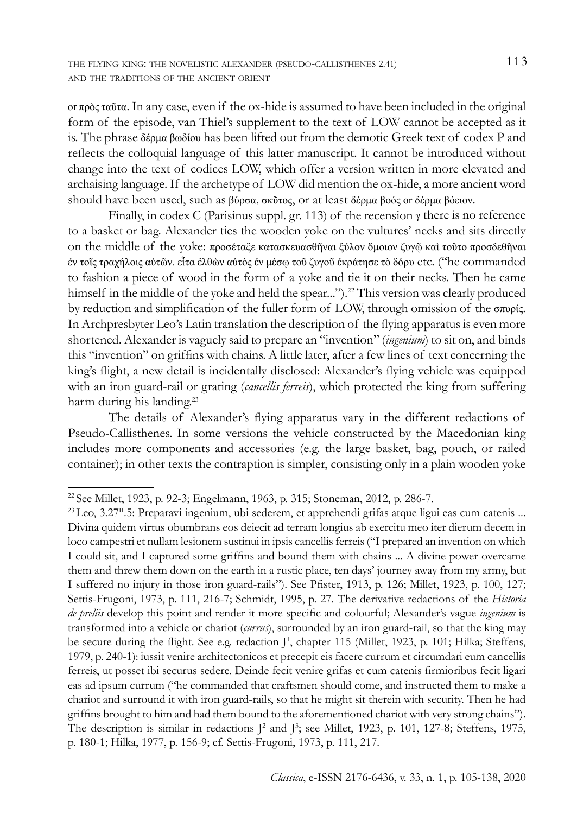or πρὸς ταῦτα. In any case, even if the ox-hide is assumed to have been included in the original form of the episode, van Thiel's supplement to the text of LOW cannot be accepted as it is. The phrase δέρμα βωδίου has been lifted out from the demotic Greek text of codex P and reflects the colloquial language of this latter manuscript. It cannot be introduced without change into the text of codices LOW, which offer a version written in more elevated and archaising language. If the archetype of LOW did mention the ox-hide, a more ancient word should have been used, such as βύρσα, σκῦτος, or at least δέρμα βοός or δέρμα βόειον.

Finally, in codex C (Parisinus suppl. gr. 113) of the recension  $\gamma$  there is no reference to a basket or bag. Alexander ties the wooden yoke on the vultures' necks and sits directly on the middle of the yoke: προσέταξε κατασκευασθῆναι ξύλον ὅμοιον ζυγῷ καὶ τοῦτο προσδεθῆναι ἐν τοῖς τραχήλοις αὐτῶν. εἶτα ἐλθὼν αὐτὸς ἐν μέσῳ τοῦ ζυγοῦ ἐκράτησε τὸ δόρυ etc. ("he commanded to fashion a piece of wood in the form of a yoke and tie it on their necks. Then he came himself in the middle of the yoke and held the spear...").<sup>22</sup> This version was clearly produced by reduction and simplification of the fuller form of LOW, through omission of the σπυρίς. In Archpresbyter Leo's Latin translation the description of the flying apparatus is even more shortened. Alexander is vaguely said to prepare an "invention" (*ingenium*) to sit on, and binds this "invention" on griffins with chains. A little later, after a few lines of text concerning the king's flight, a new detail is incidentally disclosed: Alexander's flying vehicle was equipped with an iron guard-rail or grating (*cancellis ferreis*), which protected the king from suffering harm during his landing.<sup>23</sup>

The details of Alexander's flying apparatus vary in the different redactions of Pseudo-Callisthenes. In some versions the vehicle constructed by the Macedonian king includes more components and accessories (e.g. the large basket, bag, pouch, or railed container); in other texts the contraption is simpler, consisting only in a plain wooden yoke

<sup>22</sup>See Millet, 1923, p. 92-3; Engelmann, 1963, p. 315; Stoneman, 2012, p. 286-7.

 $^{23}$  Leo,  $3.27^{\text{II}}.5$ : Preparavi ingenium, ubi sederem, et apprehendi grifas atque ligui eas cum catenis ... Divina quidem virtus obumbrans eos deiecit ad terram longius ab exercitu meo iter dierum decem in loco campestri et nullam lesionem sustinui in ipsis cancellis ferreis ("I prepared an invention on which I could sit, and I captured some griffins and bound them with chains ... A divine power overcame them and threw them down on the earth in a rustic place, ten days' journey away from my army, but I suffered no injury in those iron guard-rails"). See Pfister, 1913, p. 126; Millet, 1923, p. 100, 127; Settis-Frugoni, 1973, p. 111, 216-7; Schmidt, 1995, p. 27. The derivative redactions of the *Historia de preliis* develop this point and render it more specific and colourful; Alexander's vague *ingenium* is transformed into a vehicle or chariot (*currus*), surrounded by an iron guard-rail, so that the king may be secure during the flight. See e.g. redaction J<sup>1</sup>, chapter 115 (Millet, 1923, p. 101; Hilka; Steffens, 1979, p. 240-1): iussit venire architectonicos et precepit eis facere currum et circumdari eum cancellis ferreis, ut posset ibi securus sedere. Deinde fecit venire grifas et cum catenis firmioribus fecit ligari eas ad ipsum currum ("he commanded that craftsmen should come, and instructed them to make a chariot and surround it with iron guard-rails, so that he might sit therein with security. Then he had griffins brought to him and had them bound to the aforementioned chariot with very strong chains"). The description is similar in redactions  $J^2$  and  $J^3$ ; see Millet, 1923, p. 101, 127-8; Steffens, 1975, p. 180-1; Hilka, 1977, p. 156-9; cf. Settis-Frugoni, 1973, p. 111, 217.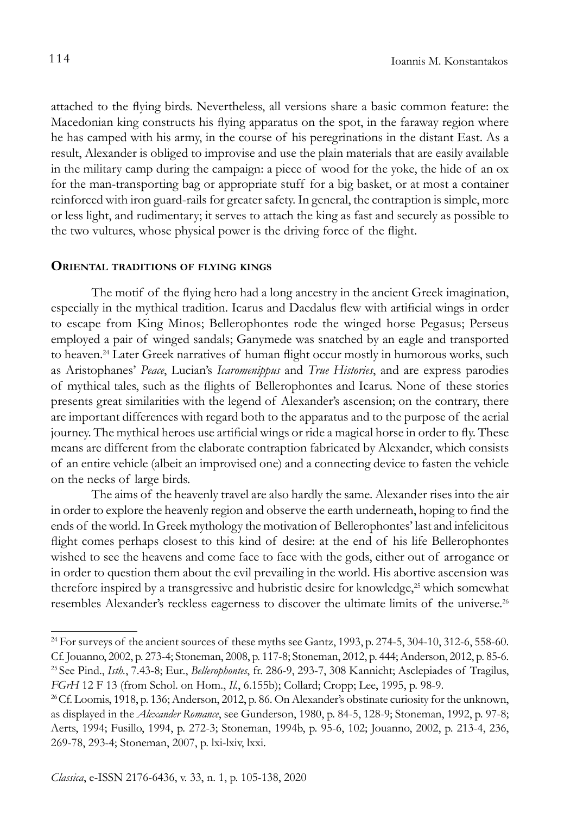attached to the flying birds. Nevertheless, all versions share a basic common feature: the Macedonian king constructs his flying apparatus on the spot, in the faraway region where he has camped with his army, in the course of his peregrinations in the distant East. As a result, Alexander is obliged to improvise and use the plain materials that are easily available in the military camp during the campaign: a piece of wood for the yoke, the hide of an ox for the man-transporting bag or appropriate stuff for a big basket, or at most a container reinforced with iron guard-rails for greater safety. In general, the contraption is simple, more or less light, and rudimentary; it serves to attach the king as fast and securely as possible to the two vultures, whose physical power is the driving force of the flight.

#### **Oriental traditions of flying kings**

The motif of the flying hero had a long ancestry in the ancient Greek imagination, especially in the mythical tradition. Icarus and Daedalus flew with artificial wings in order to escape from King Minos; Bellerophontes rode the winged horse Pegasus; Perseus employed a pair of winged sandals; Ganymede was snatched by an eagle and transported to heaven.<sup>24</sup> Later Greek narratives of human flight occur mostly in humorous works, such as Aristophanes' *Peace*, Lucian's *Icaromenippus* and *True Histories*, and are express parodies of mythical tales, such as the flights of Bellerophontes and Icarus. None of these stories presents great similarities with the legend of Alexander's ascension; on the contrary, there are important differences with regard both to the apparatus and to the purpose of the aerial journey. The mythical heroes use artificial wings or ride a magical horse in order to fly. These means are different from the elaborate contraption fabricated by Alexander, which consists of an entire vehicle (albeit an improvised one) and a connecting device to fasten the vehicle on the necks of large birds.

The aims of the heavenly travel are also hardly the same. Alexander rises into the air in order to explore the heavenly region and observe the earth underneath, hoping to find the ends of the world. In Greek mythology the motivation of Bellerophontes' last and infelicitous flight comes perhaps closest to this kind of desire: at the end of his life Bellerophontes wished to see the heavens and come face to face with the gods, either out of arrogance or in order to question them about the evil prevailing in the world. His abortive ascension was therefore inspired by a transgressive and hubristic desire for knowledge,<sup>25</sup> which somewhat resembles Alexander's reckless eagerness to discover the ultimate limits of the universe.<sup>26</sup>

<sup>&</sup>lt;sup>24</sup> For surveys of the ancient sources of these myths see Gantz, 1993, p.  $274-5$ , 304-10, 312-6, 558-60. Cf. Jouanno, 2002, p. 273-4; Stoneman, 2008, p. 117-8; Stoneman, 2012, p. 444; Anderson, 2012, p. 85-6. 25 See Pind., *Isth.*, 7.43-8; Eur., *Bellerophontes*, fr. 286-9, 293-7, 308 Kannicht; Asclepiades of Tragilus, *FGrH* 12 F 13 (from Schol. on Hom., *Il.*, 6.155b); Collard; Cropp; Lee, 1995, p. 98-9.

<sup>&</sup>lt;sup>26</sup>Cf. Loomis, 1918, p. 136; Anderson, 2012, p. 86. On Alexander's obstinate curiosity for the unknown, as displayed in the *Alexander Romance*, see Gunderson, 1980, p. 84-5, 128-9; Stoneman, 1992, p. 97-8; Aerts, 1994; Fusillo, 1994, p. 272-3; Stoneman, 1994b, p. 95-6, 102; Jouanno, 2002, p. 213-4, 236, 269-78, 293-4; Stoneman, 2007, p. lxi-lxiv, lxxi.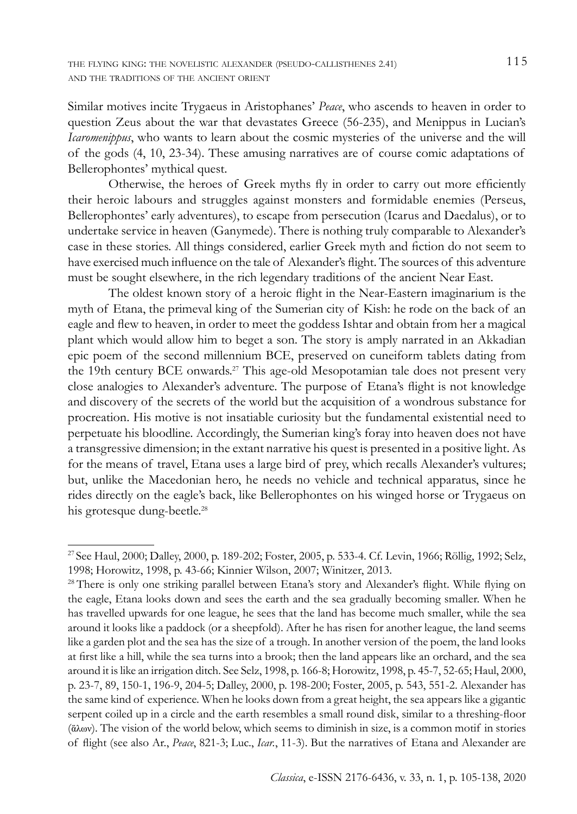Similar motives incite Trygaeus in Aristophanes' *Peace*, who ascends to heaven in order to question Zeus about the war that devastates Greece (56-235), and Menippus in Lucian's *Icaromenippus*, who wants to learn about the cosmic mysteries of the universe and the will of the gods (4, 10, 23-34). These amusing narratives are of course comic adaptations of Bellerophontes' mythical quest.

Otherwise, the heroes of Greek myths fly in order to carry out more efficiently their heroic labours and struggles against monsters and formidable enemies (Perseus, Bellerophontes' early adventures), to escape from persecution (Icarus and Daedalus), or to undertake service in heaven (Ganymede). There is nothing truly comparable to Alexander's case in these stories. All things considered, earlier Greek myth and fiction do not seem to have exercised much influence on the tale of Alexander's flight. The sources of this adventure must be sought elsewhere, in the rich legendary traditions of the ancient Near East.

The oldest known story of a heroic flight in the Near-Eastern imaginarium is the myth of Etana, the primeval king of the Sumerian city of Kish: he rode on the back of an eagle and flew to heaven, in order to meet the goddess Ishtar and obtain from her a magical plant which would allow him to beget a son. The story is amply narrated in an Akkadian epic poem of the second millennium BCE, preserved on cuneiform tablets dating from the 19th century BCE onwards.<sup>27</sup> This age-old Mesopotamian tale does not present very close analogies to Alexander's adventure. The purpose of Etana's flight is not knowledge and discovery of the secrets of the world but the acquisition of a wondrous substance for procreation. His motive is not insatiable curiosity but the fundamental existential need to perpetuate his bloodline. Accordingly, the Sumerian king's foray into heaven does not have a transgressive dimension; in the extant narrative his quest is presented in a positive light. As for the means of travel, Etana uses a large bird of prey, which recalls Alexander's vultures; but, unlike the Macedonian hero, he needs no vehicle and technical apparatus, since he rides directly on the eagle's back, like Bellerophontes on his winged horse or Trygaeus on his grotesque dung-beetle.<sup>28</sup>

<sup>27</sup>See Haul, 2000; Dalley, 2000, p. 189-202; Foster, 2005, p. 533-4. Cf. Levin, 1966; Röllig, 1992; Selz, 1998; Horowitz, 1998, p. 43-66; Kinnier Wilson, 2007; Winitzer, 2013.

<sup>&</sup>lt;sup>28</sup> There is only one striking parallel between Etana's story and Alexander's flight. While flying on the eagle, Etana looks down and sees the earth and the sea gradually becoming smaller. When he has travelled upwards for one league, he sees that the land has become much smaller, while the sea around it looks like a paddock (or a sheepfold). After he has risen for another league, the land seems like a garden plot and the sea has the size of a trough. In another version of the poem, the land looks at first like a hill, while the sea turns into a brook; then the land appears like an orchard, and the sea around it is like an irrigation ditch. See Selz, 1998, p. 166-8; Horowitz, 1998, p. 45-7, 52-65; Haul, 2000, p. 23-7, 89, 150-1, 196-9, 204-5; Dalley, 2000, p. 198-200; Foster, 2005, p. 543, 551-2. Alexander has the same kind of experience. When he looks down from a great height, the sea appears like a gigantic serpent coiled up in a circle and the earth resembles a small round disk, similar to a threshing-floor (ἅλων). The vision of the world below, which seems to diminish in size, is a common motif in stories of flight (see also Ar., *Peace*, 821-3; Luc., *Icar.*, 11-3). But the narratives of Etana and Alexander are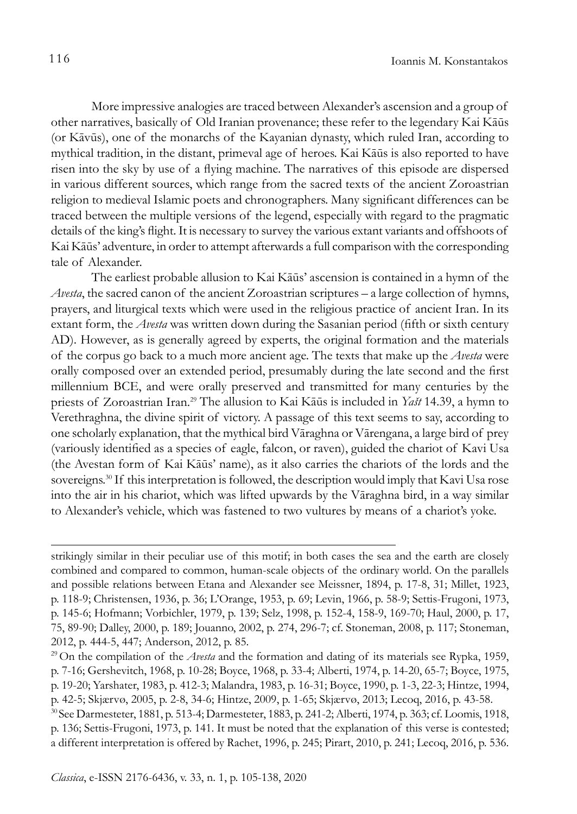More impressive analogies are traced between Alexander's ascension and a group of other narratives, basically of Old Iranian provenance; these refer to the legendary Kai Kāūs (or Kāvūs), one of the monarchs of the Kayanian dynasty, which ruled Iran, according to mythical tradition, in the distant, primeval age of heroes. Kai Kāūs is also reported to have risen into the sky by use of a flying machine. The narratives of this episode are dispersed in various different sources, which range from the sacred texts of the ancient Zoroastrian religion to medieval Islamic poets and chronographers. Many significant differences can be traced between the multiple versions of the legend, especially with regard to the pragmatic details of the king's flight. It is necessary to survey the various extant variants and offshoots of Kai Kāūs' adventure, in order to attempt afterwards a full comparison with the corresponding tale of Alexander.

The earliest probable allusion to Kai Kāūs' ascension is contained in a hymn of the *Avesta*, the sacred canon of the ancient Zoroastrian scriptures – a large collection of hymns, prayers, and liturgical texts which were used in the religious practice of ancient Iran. In its extant form, the *Avesta* was written down during the Sasanian period (fifth or sixth century AD). However, as is generally agreed by experts, the original formation and the materials of the corpus go back to a much more ancient age. The texts that make up the *Avesta* were orally composed over an extended period, presumably during the late second and the first millennium BCE, and were orally preserved and transmitted for many centuries by the priests of Zoroastrian Iran.29 The allusion to Kai Kāūs is included in *Yašt* 14.39, a hymn to Verethraghna, the divine spirit of victory. A passage of this text seems to say, according to one scholarly explanation, that the mythical bird Vāraghna or Vārengana, a large bird of prey (variously identified as a species of eagle, falcon, or raven), guided the chariot of Kavi Usa (the Avestan form of Kai Kāūs' name), as it also carries the chariots of the lords and the sovereigns.<sup>30</sup> If this interpretation is followed, the description would imply that Kavi Usa rose into the air in his chariot, which was lifted upwards by the Vāraghna bird, in a way similar to Alexander's vehicle, which was fastened to two vultures by means of a chariot's yoke.

strikingly similar in their peculiar use of this motif; in both cases the sea and the earth are closely combined and compared to common, human-scale objects of the ordinary world. On the parallels and possible relations between Etana and Alexander see Meissner, 1894, p. 17-8, 31; Millet, 1923, p. 118-9; Christensen, 1936, p. 36; L'Orange, 1953, p. 69; Levin, 1966, p. 58-9; Settis-Frugoni, 1973, p. 145-6; Hofmann; Vorbichler, 1979, p. 139; Selz, 1998, p. 152-4, 158-9, 169-70; Haul, 2000, p. 17, 75, 89-90; Dalley, 2000, p. 189; Jouanno, 2002, p. 274, 296-7; cf. Stoneman, 2008, p. 117; Stoneman, 2012, p. 444-5, 447; Anderson, 2012, p. 85.

<sup>29</sup> On the compilation of the *Avesta* and the formation and dating of its materials see Rypka, 1959, p. 7-16; Gershevitch, 1968, p. 10-28; Boyce, 1968, p. 33-4; Alberti, 1974, p. 14-20, 65-7; Boyce, 1975, p. 19-20; Yarshater, 1983, p. 412-3; Malandra, 1983, p. 16-31; Boyce, 1990, p. 1-3, 22-3; Hintze, 1994, p. 42-5; Skjærvø, 2005, p. 2-8, 34-6; Hintze, 2009, p. 1-65; Skjærvø, 2013; Lecoq, 2016, p. 43-58.

<sup>30</sup> See Darmesteter, 1881, p. 513-4; Darmesteter, 1883, p. 241-2; Alberti, 1974, p. 363; cf. Loomis, 1918, p. 136; Settis-Frugoni, 1973, p. 141. It must be noted that the explanation of this verse is contested; a different interpretation is offered by Rachet, 1996, p. 245; Pirart, 2010, p. 241; Lecoq, 2016, p. 536.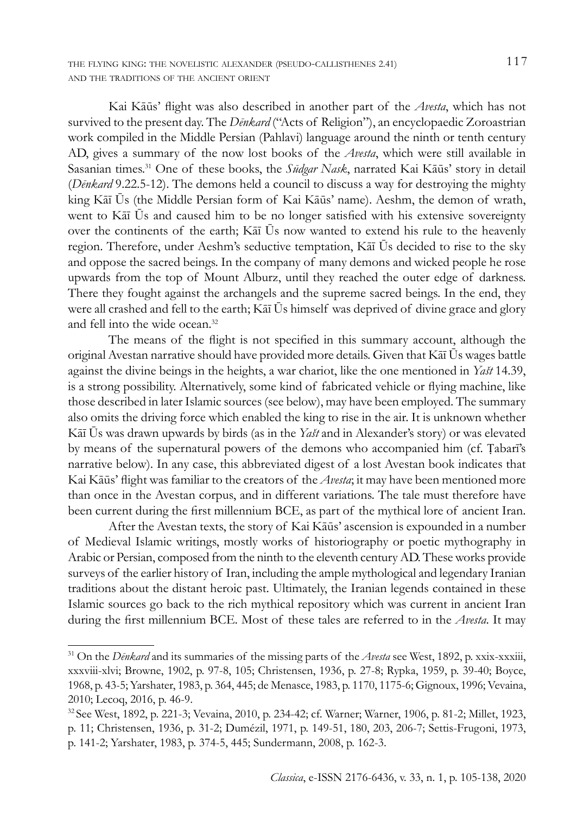the flying king: the novelistic alexander (pseudo-callisthenes 2.41) 117 and the traditions of the ancient orient

Kai Kāūs' flight was also described in another part of the *Avesta*, which has not survived to the present day. The *Denkard* ("Acts of Religion"), an encyclopaedic Zoroastrian work compiled in the Middle Persian (Pahlavi) language around the ninth or tenth century AD, gives a summary of the now lost books of the *Avesta*, which were still available in Sasanian times.31 One of these books, the *Sūdgar Nask*, narrated Kai Kāūs' story in detail (*Dēnkard* 9.22.5-12). The demons held a council to discuss a way for destroying the mighty king Kāī Ūs (the Middle Persian form of Kai Kāūs' name). Aeshm, the demon of wrath, went to Kāī Ūs and caused him to be no longer satisfied with his extensive sovereignty over the continents of the earth; Kāī Ūs now wanted to extend his rule to the heavenly region. Therefore, under Aeshm's seductive temptation, Kāī Ūs decided to rise to the sky and oppose the sacred beings. In the company of many demons and wicked people he rose upwards from the top of Mount Alburz, until they reached the outer edge of darkness. There they fought against the archangels and the supreme sacred beings. In the end, they were all crashed and fell to the earth; Kāī Ūs himself was deprived of divine grace and glory and fell into the wide ocean.32

The means of the flight is not specified in this summary account, although the original Avestan narrative should have provided more details. Given that Kāī Ūs wages battle against the divine beings in the heights, a war chariot, like the one mentioned in *Yašt* 14.39, is a strong possibility. Alternatively, some kind of fabricated vehicle or flying machine, like those described in later Islamic sources (see below), may have been employed. The summary also omits the driving force which enabled the king to rise in the air. It is unknown whether Kāī Ūs was drawn upwards by birds (as in the *Yašt* and in Alexander's story) or was elevated by means of the supernatural powers of the demons who accompanied him (cf. Ṭabarī's narrative below). In any case, this abbreviated digest of a lost Avestan book indicates that Kai Kāūs' flight was familiar to the creators of the *Avesta*; it may have been mentioned more than once in the Avestan corpus, and in different variations. The tale must therefore have been current during the first millennium BCE, as part of the mythical lore of ancient Iran.

After the Avestan texts, the story of Kai Kāūs' ascension is expounded in a number of Medieval Islamic writings, mostly works of historiography or poetic mythography in Arabic or Persian, composed from the ninth to the eleventh century AD. These works provide surveys of the earlier history of Iran, including the ample mythological and legendary Iranian traditions about the distant heroic past. Ultimately, the Iranian legends contained in these Islamic sources go back to the rich mythical repository which was current in ancient Iran during the first millennium BCE. Most of these tales are referred to in the *Avesta*. It may

<sup>31</sup> On the *Dēnkard* and its summaries of the missing parts of the *Avesta* see West, 1892, p. xxix-xxxiii, xxxviii-xlvi; Browne, 1902, p. 97-8, 105; Christensen, 1936, p. 27-8; Rypka, 1959, p. 39-40; Boyce, 1968, p. 43-5; Yarshater, 1983, p. 364, 445; de Menasce, 1983, p. 1170, 1175-6; Gignoux, 1996; Vevaina, 2010; Lecoq, 2016, p. 46-9.

<sup>32</sup>See West, 1892, p. 221-3; Vevaina, 2010, p. 234-42; cf. Warner; Warner, 1906, p. 81-2; Millet, 1923, p. 11; Christensen, 1936, p. 31-2; Dumézil, 1971, p. 149-51, 180, 203, 206-7; Settis-Frugoni, 1973, p. 141-2; Yarshater, 1983, p. 374-5, 445; Sundermann, 2008, p. 162-3.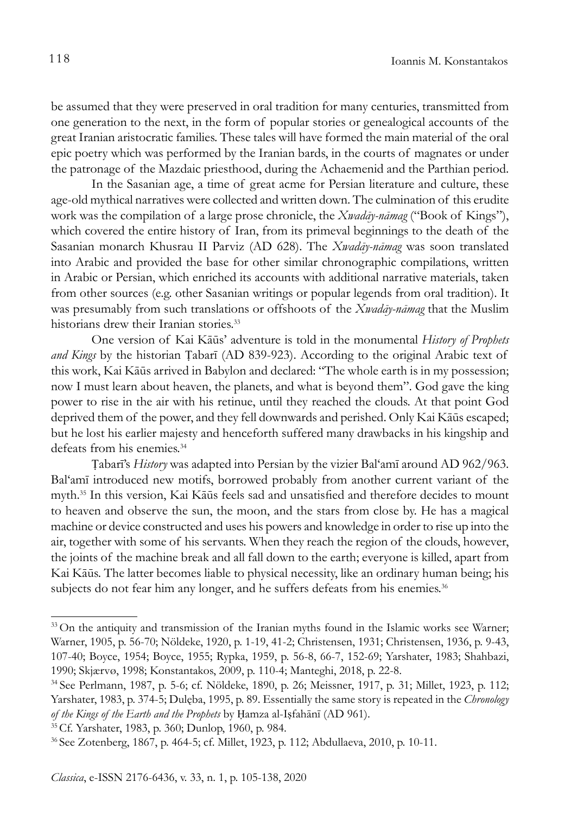be assumed that they were preserved in oral tradition for many centuries, transmitted from one generation to the next, in the form of popular stories or genealogical accounts of the great Iranian aristocratic families. These tales will have formed the main material of the oral epic poetry which was performed by the Iranian bards, in the courts of magnates or under the patronage of the Mazdaic priesthood, during the Achaemenid and the Parthian period.

In the Sasanian age, a time of great acme for Persian literature and culture, these age-old mythical narratives were collected and written down. The culmination of this erudite work was the compilation of a large prose chronicle, the *Xwadāy-nāmag* ("Book of Kings"), which covered the entire history of Iran, from its primeval beginnings to the death of the Sasanian monarch Khusrau II Parviz (AD 628). The *Xwadāy-nāmag* was soon translated into Arabic and provided the base for other similar chronographic compilations, written in Arabic or Persian, which enriched its accounts with additional narrative materials, taken from other sources (e.g. other Sasanian writings or popular legends from oral tradition). It was presumably from such translations or offshoots of the *Xwadāy-nāmag* that the Muslim historians drew their Iranian stories.<sup>33</sup>

One version of Kai Kāūs' adventure is told in the monumental *History of Prophets and Kings* by the historian Ṭabarī (AD 839-923). According to the original Arabic text of this work, Kai Kāūs arrived in Babylon and declared: "The whole earth is in my possession; now I must learn about heaven, the planets, and what is beyond them". God gave the king power to rise in the air with his retinue, until they reached the clouds. At that point God deprived them of the power, and they fell downwards and perished. Only Kai Kāūs escaped; but he lost his earlier majesty and henceforth suffered many drawbacks in his kingship and defeats from his enemies.<sup>34</sup>

Ṭabarī's *History* was adapted into Persian by the vizier Bal'amī around AD 962/963. Bal'amī introduced new motifs, borrowed probably from another current variant of the myth.35 In this version, Kai Kāūs feels sad and unsatisfied and therefore decides to mount to heaven and observe the sun, the moon, and the stars from close by. He has a magical machine or device constructed and uses his powers and knowledge in order to rise up into the air, together with some of his servants. When they reach the region of the clouds, however, the joints of the machine break and all fall down to the earth; everyone is killed, apart from Kai Kāūs. The latter becomes liable to physical necessity, like an ordinary human being; his subjects do not fear him any longer, and he suffers defeats from his enemies.<sup>36</sup>

<sup>&</sup>lt;sup>33</sup> On the antiquity and transmission of the Iranian myths found in the Islamic works see Warner; Warner, 1905, p. 56-70; Nöldeke, 1920, p. 1-19, 41-2; Christensen, 1931; Christensen, 1936, p. 9-43, 107-40; Boyce, 1954; Boyce, 1955; Rypka, 1959, p. 56-8, 66-7, 152-69; Yarshater, 1983; Shahbazi, 1990; Skjærvø, 1998; Konstantakos, 2009, p. 110-4; Manteghi, 2018, p. 22-8.

<sup>34</sup> See Perlmann, 1987, p. 5-6; cf. Nöldeke, 1890, p. 26; Meissner, 1917, p. 31; Millet, 1923, p. 112; Yarshater, 1983, p. 374-5; Dulęba, 1995, p. 89. Essentially the same story is repeated in the *Chronology of the Kings of the Earth and the Prophets* by Ḥamza al-Iṣfahānī (AD 961).

<sup>35</sup>Cf. Yarshater, 1983, p. 360; Dunlop, 1960, p. 984.

<sup>36</sup> See Zotenberg, 1867, p. 464-5; cf. Millet, 1923, p. 112; Abdullaeva, 2010, p. 10-11.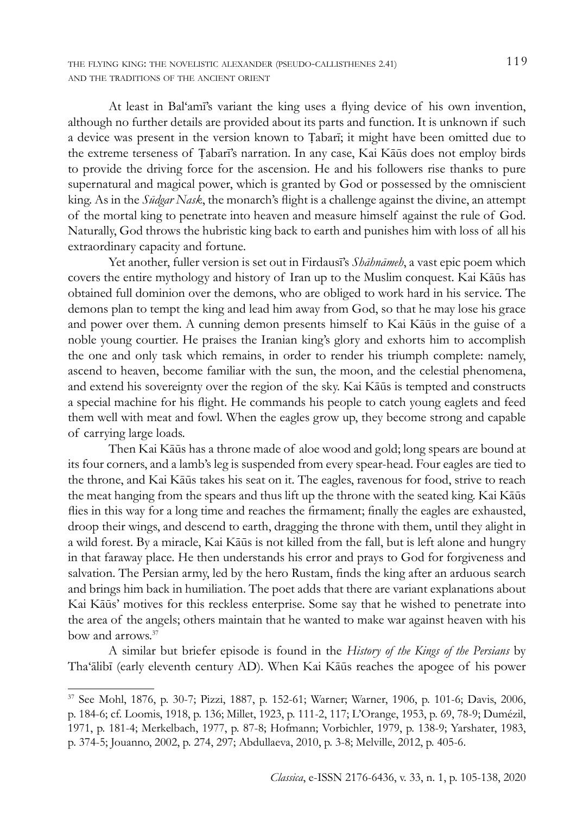the flying king: the novelistic alexander (pseudo-callisthenes 2.41) 119 and the traditions of the ancient orient

At least in Bal'amī's variant the king uses a flying device of his own invention, although no further details are provided about its parts and function. It is unknown if such a device was present in the version known to Ṭabarī; it might have been omitted due to the extreme terseness of Ṭabarī's narration. In any case, Kai Kāūs does not employ birds to provide the driving force for the ascension. He and his followers rise thanks to pure supernatural and magical power, which is granted by God or possessed by the omniscient king. As in the *Sūdgar Nask*, the monarch's flight is a challenge against the divine, an attempt of the mortal king to penetrate into heaven and measure himself against the rule of God. Naturally, God throws the hubristic king back to earth and punishes him with loss of all his extraordinary capacity and fortune.

Yet another, fuller version is set out in Firdausī's *Shāhnāmeh*, a vast epic poem which covers the entire mythology and history of Iran up to the Muslim conquest. Kai Kāūs has obtained full dominion over the demons, who are obliged to work hard in his service. The demons plan to tempt the king and lead him away from God, so that he may lose his grace and power over them. A cunning demon presents himself to Kai Kāūs in the guise of a noble young courtier. He praises the Iranian king's glory and exhorts him to accomplish the one and only task which remains, in order to render his triumph complete: namely, ascend to heaven, become familiar with the sun, the moon, and the celestial phenomena, and extend his sovereignty over the region of the sky. Kai Kāūs is tempted and constructs a special machine for his flight. He commands his people to catch young eaglets and feed them well with meat and fowl. When the eagles grow up, they become strong and capable of carrying large loads.

Then Kai Kāūs has a throne made of aloe wood and gold; long spears are bound at its four corners, and a lamb's leg is suspended from every spear-head. Four eagles are tied to the throne, and Kai Kāūs takes his seat on it. The eagles, ravenous for food, strive to reach the meat hanging from the spears and thus lift up the throne with the seated king. Kai Kāūs flies in this way for a long time and reaches the firmament; finally the eagles are exhausted, droop their wings, and descend to earth, dragging the throne with them, until they alight in a wild forest. By a miracle, Kai Kāūs is not killed from the fall, but is left alone and hungry in that faraway place. He then understands his error and prays to God for forgiveness and salvation. The Persian army, led by the hero Rustam, finds the king after an arduous search and brings him back in humiliation. The poet adds that there are variant explanations about Kai Kāūs' motives for this reckless enterprise. Some say that he wished to penetrate into the area of the angels; others maintain that he wanted to make war against heaven with his bow and arrows.37

A similar but briefer episode is found in the *History of the Kings of the Persians* by Tha'ālibī (early eleventh century AD). When Kai Kāūs reaches the apogee of his power

<sup>37</sup> See Mohl, 1876, p. 30-7; Pizzi, 1887, p. 152-61; Warner; Warner, 1906, p. 101-6; Davis, 2006, p. 184-6; cf. Loomis, 1918, p. 136; Millet, 1923, p. 111-2, 117; L'Orange, 1953, p. 69, 78-9; Dumézil, 1971, p. 181-4; Merkelbach, 1977, p. 87-8; Hofmann; Vorbichler, 1979, p. 138-9; Yarshater, 1983, p. 374-5; Jouanno, 2002, p. 274, 297; Abdullaeva, 2010, p. 3-8; Melville, 2012, p. 405-6.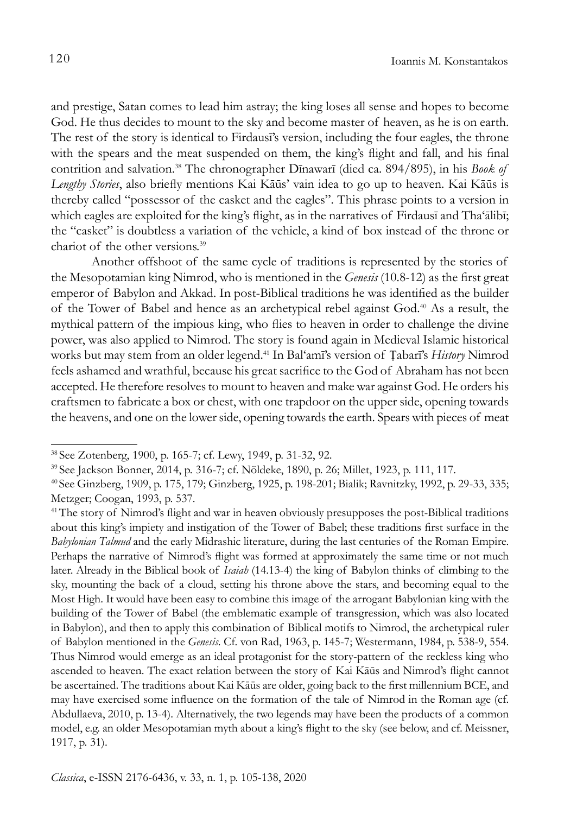and prestige, Satan comes to lead him astray; the king loses all sense and hopes to become God. He thus decides to mount to the sky and become master of heaven, as he is on earth. The rest of the story is identical to Firdausī's version, including the four eagles, the throne with the spears and the meat suspended on them, the king's flight and fall, and his final contrition and salvation.38 The chronographer Dīnawarī (died ca. 894/895), in his *Book of Lengthy Stories*, also briefly mentions Kai Kāūs' vain idea to go up to heaven. Kai Kāūs is thereby called "possessor of the casket and the eagles". This phrase points to a version in which eagles are exploited for the king's flight, as in the narratives of Firdausī and Tha'ālibī; the "casket" is doubtless a variation of the vehicle, a kind of box instead of the throne or chariot of the other versions.39

Another offshoot of the same cycle of traditions is represented by the stories of the Mesopotamian king Nimrod, who is mentioned in the *Genesis* (10.8-12) as the first great emperor of Babylon and Akkad. In post-Biblical traditions he was identified as the builder of the Tower of Babel and hence as an archetypical rebel against God.40 As a result, the mythical pattern of the impious king, who flies to heaven in order to challenge the divine power, was also applied to Nimrod. The story is found again in Medieval Islamic historical works but may stem from an older legend.41 In Bal'amī's version of Ṭabarī's *History* Nimrod feels ashamed and wrathful, because his great sacrifice to the God of Abraham has not been accepted. He therefore resolves to mount to heaven and make war against God. He orders his craftsmen to fabricate a box or chest, with one trapdoor on the upper side, opening towards the heavens, and one on the lower side, opening towards the earth. Spears with pieces of meat

<sup>38</sup> See Zotenberg, 1900, p. 165-7; cf. Lewy, 1949, p. 31-32, 92.

<sup>39</sup> See Jackson Bonner, 2014, p. 316-7; cf. Nöldeke, 1890, p. 26; Millet, 1923, p. 111, 117.

<sup>40</sup> See Ginzberg, 1909, p. 175, 179; Ginzberg, 1925, p. 198-201; Bialik; Ravnitzky, 1992, p. 29-33, 335; Metzger; Coogan, 1993, p. 537.

<sup>41</sup>The story of Nimrod's flight and war in heaven obviously presupposes the post-Biblical traditions about this king's impiety and instigation of the Tower of Babel; these traditions first surface in the *Babylonian Talmud* and the early Midrashic literature, during the last centuries of the Roman Empire. Perhaps the narrative of Nimrod's flight was formed at approximately the same time or not much later. Already in the Biblical book of *Isaiah* (14.13-4) the king of Babylon thinks of climbing to the sky, mounting the back of a cloud, setting his throne above the stars, and becoming equal to the Most High. It would have been easy to combine this image of the arrogant Babylonian king with the building of the Tower of Babel (the emblematic example of transgression, which was also located in Babylon), and then to apply this combination of Biblical motifs to Nimrod, the archetypical ruler of Babylon mentioned in the *Genesis*. Cf. von Rad, 1963, p. 145-7; Westermann, 1984, p. 538-9, 554. Thus Nimrod would emerge as an ideal protagonist for the story-pattern of the reckless king who ascended to heaven. The exact relation between the story of Kai Kāūs and Nimrod's flight cannot be ascertained. The traditions about Kai Kāūs are older, going back to the first millennium BCE, and may have exercised some influence on the formation of the tale of Nimrod in the Roman age (cf. Abdullaeva, 2010, p. 13-4). Alternatively, the two legends may have been the products of a common model, e.g. an older Mesopotamian myth about a king's flight to the sky (see below, and cf. Meissner, 1917, p. 31).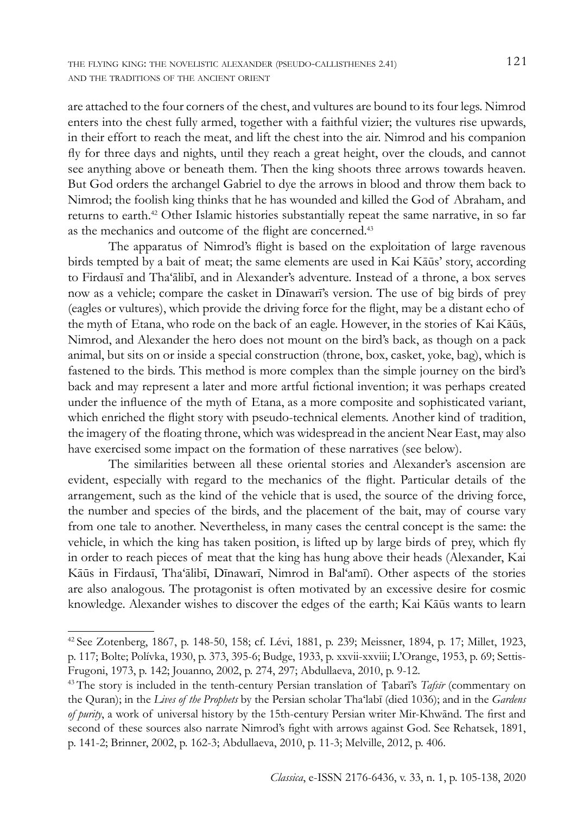are attached to the four corners of the chest, and vultures are bound to its four legs. Nimrod enters into the chest fully armed, together with a faithful vizier; the vultures rise upwards, in their effort to reach the meat, and lift the chest into the air. Nimrod and his companion fly for three days and nights, until they reach a great height, over the clouds, and cannot see anything above or beneath them. Then the king shoots three arrows towards heaven. But God orders the archangel Gabriel to dye the arrows in blood and throw them back to Nimrod; the foolish king thinks that he has wounded and killed the God of Abraham, and returns to earth.<sup>42</sup> Other Islamic histories substantially repeat the same narrative, in so far as the mechanics and outcome of the flight are concerned.<sup>43</sup>

The apparatus of Nimrod's flight is based on the exploitation of large ravenous birds tempted by a bait of meat; the same elements are used in Kai Kāūs' story, according to Firdausī and Tha'ālibī, and in Alexander's adventure. Instead of a throne, a box serves now as a vehicle; compare the casket in Dīnawarī's version. The use of big birds of prey (eagles or vultures), which provide the driving force for the flight, may be a distant echo of the myth of Etana, who rode on the back of an eagle. However, in the stories of Kai Kāūs, Nimrod, and Alexander the hero does not mount on the bird's back, as though on a pack animal, but sits on or inside a special construction (throne, box, casket, yoke, bag), which is fastened to the birds. This method is more complex than the simple journey on the bird's back and may represent a later and more artful fictional invention; it was perhaps created under the influence of the myth of Etana, as a more composite and sophisticated variant, which enriched the flight story with pseudo-technical elements. Another kind of tradition, the imagery of the floating throne, which was widespread in the ancient Near East, may also have exercised some impact on the formation of these narratives (see below).

The similarities between all these oriental stories and Alexander's ascension are evident, especially with regard to the mechanics of the flight. Particular details of the arrangement, such as the kind of the vehicle that is used, the source of the driving force, the number and species of the birds, and the placement of the bait, may of course vary from one tale to another. Nevertheless, in many cases the central concept is the same: the vehicle, in which the king has taken position, is lifted up by large birds of prey, which fly in order to reach pieces of meat that the king has hung above their heads (Alexander, Kai Kāūs in Firdausī, Tha'ālibī, Dīnawarī, Nimrod in Bal'amī). Other aspects of the stories are also analogous. The protagonist is often motivated by an excessive desire for cosmic knowledge. Alexander wishes to discover the edges of the earth; Kai Kāūs wants to learn

<sup>&</sup>lt;sup>42</sup> See Zotenberg, 1867, p. 148-50, 158; cf. Lévi, 1881, p. 239; Meissner, 1894, p. 17; Millet, 1923, p. 117; Bolte; Polívka, 1930, p. 373, 395-6; Budge, 1933, p. xxvii-xxviii; L'Orange, 1953, p. 69; Settis-Frugoni, 1973, p. 142; Jouanno, 2002, p. 274, 297; Abdullaeva, 2010, p. 9-12.

<sup>43</sup> The story is included in the tenth-century Persian translation of Ṭabarī's *Tafsīr* (commentary on the Quran); in the *Lives of the Prophets* by the Persian scholar Tha'labī (died 1036); and in the *Gardens of purity*, a work of universal history by the 15th-century Persian writer Mir-Khwānd. The first and second of these sources also narrate Nimrod's fight with arrows against God. See Rehatsek, 1891, p. 141-2; Brinner, 2002, p. 162-3; Abdullaeva, 2010, p. 11-3; Melville, 2012, p. 406.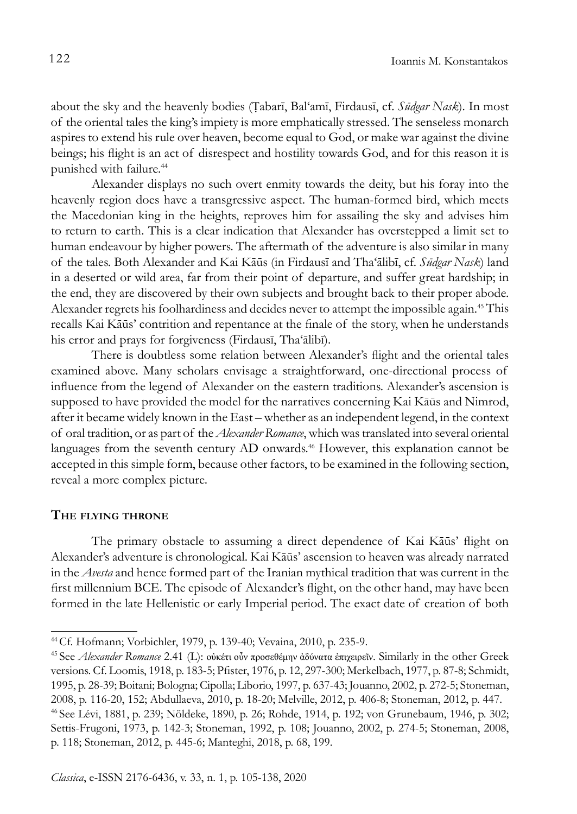about the sky and the heavenly bodies (Ṭabarī, Bal'amī, Firdausī, cf. *Sūdgar Nask*). In most of the oriental tales the king's impiety is more emphatically stressed. The senseless monarch aspires to extend his rule over heaven, become equal to God, or make war against the divine beings; his flight is an act of disrespect and hostility towards God, and for this reason it is punished with failure.<sup>44</sup>

Alexander displays no such overt enmity towards the deity, but his foray into the heavenly region does have a transgressive aspect. The human-formed bird, which meets the Macedonian king in the heights, reproves him for assailing the sky and advises him to return to earth. This is a clear indication that Alexander has overstepped a limit set to human endeavour by higher powers. The aftermath of the adventure is also similar in many of the tales. Both Alexander and Kai Kāūs (in Firdausī and Tha'ālibī, cf. *Sūdgar Nask*) land in a deserted or wild area, far from their point of departure, and suffer great hardship; in the end, they are discovered by their own subjects and brought back to their proper abode. Alexander regrets his foolhardiness and decides never to attempt the impossible again.<sup>45</sup> This recalls Kai Kāūs' contrition and repentance at the finale of the story, when he understands his error and prays for forgiveness (Firdausī, Tha'ālibī).

There is doubtless some relation between Alexander's flight and the oriental tales examined above. Many scholars envisage a straightforward, one-directional process of influence from the legend of Alexander on the eastern traditions. Alexander's ascension is supposed to have provided the model for the narratives concerning Kai Kāūs and Nimrod, after it became widely known in the East – whether as an independent legend, in the context of oral tradition, or as part of the *Alexander Romance*, which was translated into several oriental languages from the seventh century AD onwards.<sup>46</sup> However, this explanation cannot be accepted in this simple form, because other factors, to be examined in the following section, reveal a more complex picture.

## **The flying throne**

The primary obstacle to assuming a direct dependence of Kai Kāūs' flight on Alexander's adventure is chronological. Kai Kāūs' ascension to heaven was already narrated in the *Avesta* and hence formed part of the Iranian mythical tradition that was current in the first millennium BCE. The episode of Alexander's flight, on the other hand, may have been formed in the late Hellenistic or early Imperial period. The exact date of creation of both

<sup>44</sup>Cf. Hofmann; Vorbichler, 1979, p. 139-40; Vevaina, 2010, p. 235-9.

<sup>45</sup> See *Alexander Romance* 2.41 (L): οὐκέτι οὖν προσεθέμην ἀδύνατα ἐπιχειρεῖν. Similarly in the other Greek versions. Cf. Loomis, 1918, p. 183-5; Pfister, 1976, p. 12, 297-300; Merkelbach, 1977, p. 87-8; Schmidt, 1995, p. 28-39; Boitani; Bologna; Cipolla; Liborio, 1997, p. 637-43; Jouanno, 2002, p. 272-5; Stoneman, 2008, p. 116-20, 152; Abdullaeva, 2010, p. 18-20; Melville, 2012, p. 406-8; Stoneman, 2012, p. 447. 46 See Lévi, 1881, p. 239; Nöldeke, 1890, p. 26; Rohde, 1914, p. 192; von Grunebaum, 1946, p. 302; Settis-Frugoni, 1973, p. 142-3; Stoneman, 1992, p. 108; Jouanno, 2002, p. 274-5; Stoneman, 2008,

p. 118; Stoneman, 2012, p. 445-6; Manteghi, 2018, p. 68, 199.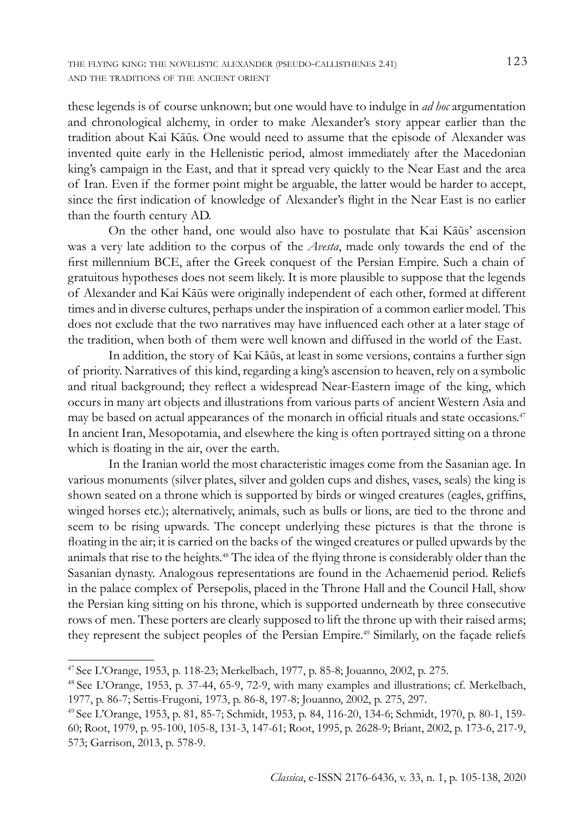these legends is of course unknown; but one would have to indulge in *ad hoc* argumentation and chronological alchemy, in order to make Alexander's story appear earlier than the tradition about Kai Kāūs. One would need to assume that the episode of Alexander was invented quite early in the Hellenistic period, almost immediately after the Macedonian king's campaign in the East, and that it spread very quickly to the Near East and the area of Iran. Even if the former point might be arguable, the latter would be harder to accept, since the first indication of knowledge of Alexander's flight in the Near East is no earlier than the fourth century AD.

On the other hand, one would also have to postulate that Kai Kāūs' ascension was a very late addition to the corpus of the *Avesta*, made only towards the end of the first millennium BCE, after the Greek conquest of the Persian Empire. Such a chain of gratuitous hypotheses does not seem likely. It is more plausible to suppose that the legends of Alexander and Kai Kāūs were originally independent of each other, formed at different times and in diverse cultures, perhaps under the inspiration of a common earlier model. This does not exclude that the two narratives may have influenced each other at a later stage of the tradition, when both of them were well known and diffused in the world of the East.

In addition, the story of Kai Kāūs, at least in some versions, contains a further sign of priority. Narratives of this kind, regarding a king's ascension to heaven, rely on a symbolic and ritual background; they reflect a widespread Near-Eastern image of the king, which occurs in many art objects and illustrations from various parts of ancient Western Asia and may be based on actual appearances of the monarch in official rituals and state occasions.<sup>47</sup> In ancient Iran, Mesopotamia, and elsewhere the king is often portrayed sitting on a throne which is floating in the air, over the earth.

In the Iranian world the most characteristic images come from the Sasanian age. In various monuments (silver plates, silver and golden cups and dishes, vases, seals) the king is shown seated on a throne which is supported by birds or winged creatures (eagles, griffins, winged horses etc.); alternatively, animals, such as bulls or lions, are tied to the throne and seem to be rising upwards. The concept underlying these pictures is that the throne is floating in the air; it is carried on the backs of the winged creatures or pulled upwards by the animals that rise to the heights.48 The idea of the flying throne is considerably older than the Sasanian dynasty. Analogous representations are found in the Achaemenid period. Reliefs in the palace complex of Persepolis, placed in the Throne Hall and the Council Hall, show the Persian king sitting on his throne, which is supported underneath by three consecutive rows of men. These porters are clearly supposed to lift the throne up with their raised arms; they represent the subject peoples of the Persian Empire.49 Similarly, on the façade reliefs

<sup>47</sup> See L'Orange, 1953, p. 118-23; Merkelbach, 1977, p. 85-8; Jouanno, 2002, p. 275.

<sup>48</sup> See L'Orange, 1953, p. 37-44, 65-9, 72-9, with many examples and illustrations; cf. Merkelbach, 1977, p. 86-7; Settis-Frugoni, 1973, p. 86-8, 197-8; Jouanno, 2002, p. 275, 297.

<sup>49</sup> See L'Orange, 1953, p. 81, 85-7; Schmidt, 1953, p. 84, 116-20, 134-6; Schmidt, 1970, p. 80-1, 159- 60; Root, 1979, p. 95-100, 105-8, 131-3, 147-61; Root, 1995, p. 2628-9; Briant, 2002, p. 173-6, 217-9, 573; Garrison, 2013, p. 578-9.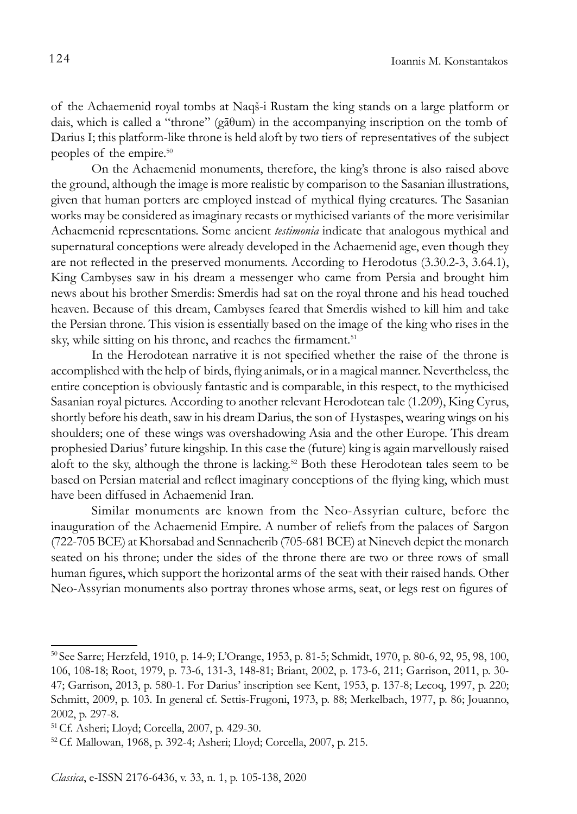of the Achaemenid royal tombs at Naqš-i Rustam the king stands on a large platform or dais, which is called a "throne" (gāθum) in the accompanying inscription on the tomb of Darius I; this platform-like throne is held aloft by two tiers of representatives of the subject peoples of the empire.50

On the Achaemenid monuments, therefore, the king's throne is also raised above the ground, although the image is more realistic by comparison to the Sasanian illustrations, given that human porters are employed instead of mythical flying creatures. The Sasanian works may be considered as imaginary recasts or mythicised variants of the more verisimilar Achaemenid representations. Some ancient *testimonia* indicate that analogous mythical and supernatural conceptions were already developed in the Achaemenid age, even though they are not reflected in the preserved monuments. According to Herodotus (3.30.2-3, 3.64.1), King Cambyses saw in his dream a messenger who came from Persia and brought him news about his brother Smerdis: Smerdis had sat on the royal throne and his head touched heaven. Because of this dream, Cambyses feared that Smerdis wished to kill him and take the Persian throne. This vision is essentially based on the image of the king who rises in the sky, while sitting on his throne, and reaches the firmament.<sup>51</sup>

In the Herodotean narrative it is not specified whether the raise of the throne is accomplished with the help of birds, flying animals, or in a magical manner. Nevertheless, the entire conception is obviously fantastic and is comparable, in this respect, to the mythicised Sasanian royal pictures. According to another relevant Herodotean tale (1.209), King Cyrus, shortly before his death, saw in his dream Darius, the son of Hystaspes, wearing wings on his shoulders; one of these wings was overshadowing Asia and the other Europe. This dream prophesied Darius' future kingship. In this case the (future) king is again marvellously raised aloft to the sky, although the throne is lacking.52 Both these Herodotean tales seem to be based on Persian material and reflect imaginary conceptions of the flying king, which must have been diffused in Achaemenid Iran.

Similar monuments are known from the Neo-Assyrian culture, before the inauguration of the Achaemenid Empire. A number of reliefs from the palaces of Sargon (722-705 BCE) at Khorsabad and Sennacherib (705-681 BCE) at Nineveh depict the monarch seated on his throne; under the sides of the throne there are two or three rows of small human figures, which support the horizontal arms of the seat with their raised hands. Other Neo-Assyrian monuments also portray thrones whose arms, seat, or legs rest on figures of

<sup>50</sup> See Sarre; Herzfeld, 1910, p. 14-9; L'Orange, 1953, p. 81-5; Schmidt, 1970, p. 80-6, 92, 95, 98, 100, 106, 108-18; Root, 1979, p. 73-6, 131-3, 148-81; Briant, 2002, p. 173-6, 211; Garrison, 2011, p. 30- 47; Garrison, 2013, p. 580-1. For Darius' inscription see Kent, 1953, p. 137-8; Lecoq, 1997, p. 220; Schmitt, 2009, p. 103. In general cf. Settis-Frugoni, 1973, p. 88; Merkelbach, 1977, p. 86; Jouanno, 2002, p. 297-8.

<sup>51</sup>Cf. Asheri; Lloyd; Corcella, 2007, p. 429-30.

<sup>52</sup> Cf. Mallowan, 1968, p. 392-4; Asheri; Lloyd; Corcella, 2007, p. 215.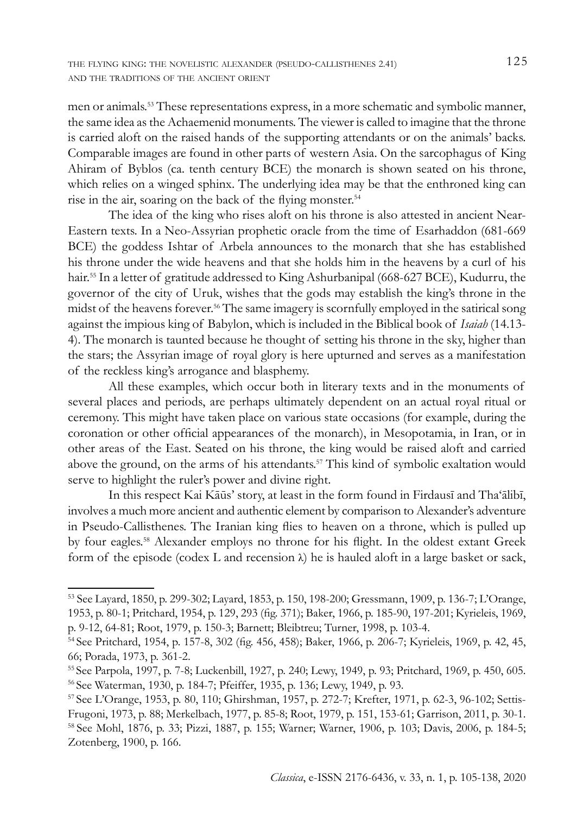men or animals.53 These representations express, in a more schematic and symbolic manner, the same idea as the Achaemenid monuments. The viewer is called to imagine that the throne is carried aloft on the raised hands of the supporting attendants or on the animals' backs. Comparable images are found in other parts of western Asia. On the sarcophagus of King Ahiram of Byblos (ca. tenth century BCE) the monarch is shown seated on his throne, which relies on a winged sphinx. The underlying idea may be that the enthroned king can rise in the air, soaring on the back of the flying monster.<sup>54</sup>

The idea of the king who rises aloft on his throne is also attested in ancient Near-Eastern texts. In a Neo-Assyrian prophetic oracle from the time of Esarhaddon (681-669 BCE) the goddess Ishtar of Arbela announces to the monarch that she has established his throne under the wide heavens and that she holds him in the heavens by a curl of his hair.55 In a letter of gratitude addressed to King Ashurbanipal (668-627 BCE), Kudurru, the governor of the city of Uruk, wishes that the gods may establish the king's throne in the midst of the heavens forever.56 The same imagery is scornfully employed in the satirical song against the impious king of Babylon, which is included in the Biblical book of *Isaiah* (14.13- 4). The monarch is taunted because he thought of setting his throne in the sky, higher than the stars; the Assyrian image of royal glory is here upturned and serves as a manifestation of the reckless king's arrogance and blasphemy.

All these examples, which occur both in literary texts and in the monuments of several places and periods, are perhaps ultimately dependent on an actual royal ritual or ceremony. This might have taken place on various state occasions (for example, during the coronation or other official appearances of the monarch), in Mesopotamia, in Iran, or in other areas of the East. Seated on his throne, the king would be raised aloft and carried above the ground, on the arms of his attendants.57 This kind of symbolic exaltation would serve to highlight the ruler's power and divine right.

In this respect Kai Kāūs' story, at least in the form found in Firdausī and Tha'ālibī, involves a much more ancient and authentic element by comparison to Alexander's adventure in Pseudo-Callisthenes. The Iranian king flies to heaven on a throne, which is pulled up by four eagles.58 Alexander employs no throne for his flight. In the oldest extant Greek form of the episode (codex L and recension  $\lambda$ ) he is hauled aloft in a large basket or sack,

<sup>53</sup> See Layard, 1850, p. 299-302; Layard, 1853, p. 150, 198-200; Gressmann, 1909, p. 136-7; L'Orange, 1953, p. 80-1; Pritchard, 1954, p. 129, 293 (fig. 371); Baker, 1966, p. 185-90, 197-201; Kyrieleis, 1969, p. 9-12, 64-81; Root, 1979, p. 150-3; Barnett; Bleibtreu; Turner, 1998, p. 103-4.

<sup>54</sup>See Pritchard, 1954, p. 157-8, 302 (fig. 456, 458); Baker, 1966, p. 206-7; Kyrieleis, 1969, p. 42, 45, 66; Porada, 1973, p. 361-2.

<sup>55</sup> See Parpola, 1997, p. 7-8; Luckenbill, 1927, p. 240; Lewy, 1949, p. 93; Pritchard, 1969, p. 450, 605. <sup>56</sup>See Waterman, 1930, p. 184-7; Pfeiffer, 1935, p. 136; Lewy, 1949, p. 93.

<sup>57</sup> See L'Orange, 1953, p. 80, 110; Ghirshman, 1957, p. 272-7; Krefter, 1971, p. 62-3, 96-102; Settis-Frugoni, 1973, p. 88; Merkelbach, 1977, p. 85-8; Root, 1979, p. 151, 153-61; Garrison, 2011, p. 30-1. <sup>58</sup>See Mohl, 1876, p. 33; Pizzi, 1887, p. 155; Warner; Warner, 1906, p. 103; Davis, 2006, p. 184-5; Zotenberg, 1900, p. 166.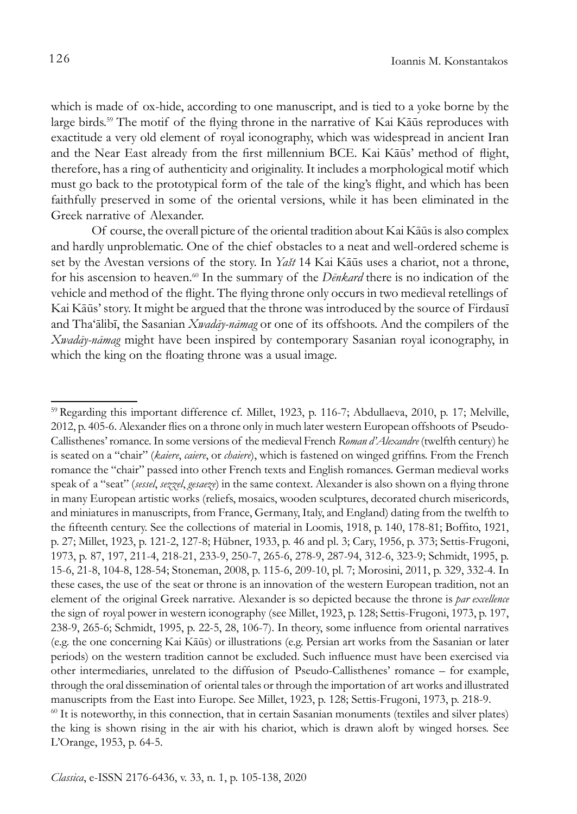which is made of ox-hide, according to one manuscript, and is tied to a yoke borne by the large birds.59 The motif of the flying throne in the narrative of Kai Kāūs reproduces with exactitude a very old element of royal iconography, which was widespread in ancient Iran and the Near East already from the first millennium BCE. Kai Kāūs' method of flight, therefore, has a ring of authenticity and originality. It includes a morphological motif which must go back to the prototypical form of the tale of the king's flight, and which has been faithfully preserved in some of the oriental versions, while it has been eliminated in the Greek narrative of Alexander.

Of course, the overall picture of the oriental tradition about Kai Kāūs is also complex and hardly unproblematic. One of the chief obstacles to a neat and well-ordered scheme is set by the Avestan versions of the story. In *Yašt* 14 Kai Kāūs uses a chariot, not a throne, for his ascension to heaven.60 In the summary of the *Dēnkard* there is no indication of the vehicle and method of the flight. The flying throne only occurs in two medieval retellings of Kai Kāūs' story. It might be argued that the throne was introduced by the source of Firdausī and Tha'ālibī, the Sasanian *Xwadāy-nāmag* or one of its offshoots. And the compilers of the *Xwadāy-nāmag* might have been inspired by contemporary Sasanian royal iconography, in which the king on the floating throne was a usual image.

<sup>59</sup> Regarding this important difference cf. Millet, 1923, p. 116-7; Abdullaeva, 2010, p. 17; Melville, 2012, p. 405-6. Alexander flies on a throne only in much later western European offshoots of Pseudo-Callisthenes' romance. In some versions of the medieval French *Roman d'Alexandre* (twelfth century) he is seated on a "chair" (*kaiere*, *caiere*, or *chaiere*), which is fastened on winged griffins. From the French romance the "chair" passed into other French texts and English romances. German medieval works speak of a "seat" (*sessel*, *sezzel*, *gesaeze*) in the same context. Alexander is also shown on a flying throne in many European artistic works (reliefs, mosaics, wooden sculptures, decorated church misericords, and miniatures in manuscripts, from France, Germany, Italy, and England) dating from the twelfth to the fifteenth century. See the collections of material in Loomis, 1918, p. 140, 178-81; Boffito, 1921, p. 27; Millet, 1923, p. 121-2, 127-8; Hübner, 1933, p. 46 and pl. 3; Cary, 1956, p. 373; Settis-Frugoni, 1973, p. 87, 197, 211-4, 218-21, 233-9, 250-7, 265-6, 278-9, 287-94, 312-6, 323-9; Schmidt, 1995, p. 15-6, 21-8, 104-8, 128-54; Stoneman, 2008, p. 115-6, 209-10, pl. 7; Morosini, 2011, p. 329, 332-4. In these cases, the use of the seat or throne is an innovation of the western European tradition, not an element of the original Greek narrative. Alexander is so depicted because the throne is *par excellence* the sign of royal power in western iconography (see Millet, 1923, p. 128; Settis-Frugoni, 1973, p. 197, 238-9, 265-6; Schmidt, 1995, p. 22-5, 28, 106-7). In theory, some influence from oriental narratives (e.g. the one concerning Kai Kāūs) or illustrations (e.g. Persian art works from the Sasanian or later periods) on the western tradition cannot be excluded. Such influence must have been exercised via other intermediaries, unrelated to the diffusion of Pseudo-Callisthenes' romance – for example, through the oral dissemination of oriental tales or through the importation of art works and illustrated manuscripts from the East into Europe. See Millet, 1923, p. 128; Settis-Frugoni, 1973, p. 218-9. 60 It is noteworthy, in this connection, that in certain Sasanian monuments (textiles and silver plates) the king is shown rising in the air with his chariot, which is drawn aloft by winged horses. See L'Orange, 1953, p. 64-5.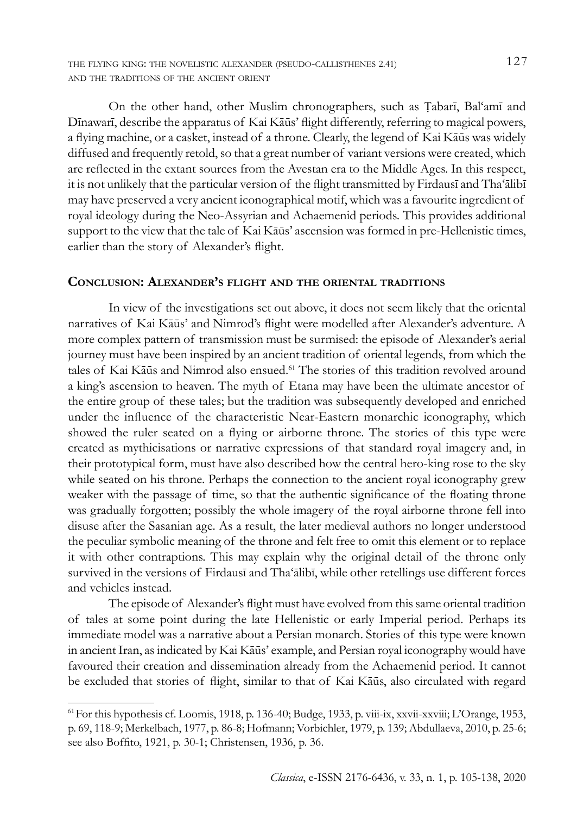the flying king: the novelistic alexander (pseudo-callisthenes 2.41) 127 and the traditions of the ancient orient

On the other hand, other Muslim chronographers, such as Ṭabarī, Bal'amī and Dīnawarī, describe the apparatus of Kai Kāūs' flight differently, referring to magical powers, a flying machine, or a casket, instead of a throne. Clearly, the legend of Kai Kāūs was widely diffused and frequently retold, so that a great number of variant versions were created, which are reflected in the extant sources from the Avestan era to the Middle Ages. In this respect, it is not unlikely that the particular version of the flight transmitted by Firdausī and Tha'ālibī may have preserved a very ancient iconographical motif, which was a favourite ingredient of royal ideology during the Neo-Assyrian and Achaemenid periods. This provides additional support to the view that the tale of Kai Kāūs' ascension was formed in pre-Hellenistic times, earlier than the story of Alexander's flight.

## **Conclusion: Alexander's flight and the oriental traditions**

In view of the investigations set out above, it does not seem likely that the oriental narratives of Kai Kāūs' and Nimrod's flight were modelled after Alexander's adventure. A more complex pattern of transmission must be surmised: the episode of Alexander's aerial journey must have been inspired by an ancient tradition of oriental legends, from which the tales of Kai Kāūs and Nimrod also ensued.61 The stories of this tradition revolved around a king's ascension to heaven. The myth of Etana may have been the ultimate ancestor of the entire group of these tales; but the tradition was subsequently developed and enriched under the influence of the characteristic Near-Eastern monarchic iconography, which showed the ruler seated on a flying or airborne throne. The stories of this type were created as mythicisations or narrative expressions of that standard royal imagery and, in their prototypical form, must have also described how the central hero-king rose to the sky while seated on his throne. Perhaps the connection to the ancient royal iconography grew weaker with the passage of time, so that the authentic significance of the floating throne was gradually forgotten; possibly the whole imagery of the royal airborne throne fell into disuse after the Sasanian age. As a result, the later medieval authors no longer understood the peculiar symbolic meaning of the throne and felt free to omit this element or to replace it with other contraptions. This may explain why the original detail of the throne only survived in the versions of Firdausī and Tha'ālibī, while other retellings use different forces and vehicles instead.

The episode of Alexander's flight must have evolved from this same oriental tradition of tales at some point during the late Hellenistic or early Imperial period. Perhaps its immediate model was a narrative about a Persian monarch. Stories of this type were known in ancient Iran, as indicated by Kai Kāūs' example, and Persian royal iconography would have favoured their creation and dissemination already from the Achaemenid period. It cannot be excluded that stories of flight, similar to that of Kai Kāūs, also circulated with regard

<sup>61</sup>For this hypothesis cf. Loomis, 1918, p. 136-40; Budge, 1933, p. viii-ix, xxvii-xxviii; L'Orange, 1953, p. 69, 118-9; Merkelbach, 1977, p. 86-8; Hofmann; Vorbichler, 1979, p. 139; Abdullaeva, 2010, p. 25-6; see also Boffito, 1921, p. 30-1; Christensen, 1936, p. 36.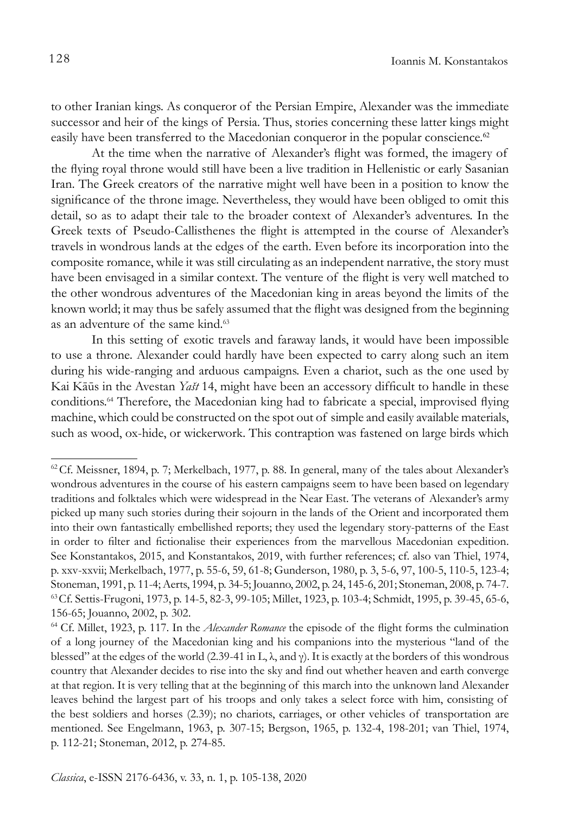to other Iranian kings. As conqueror of the Persian Empire, Alexander was the immediate successor and heir of the kings of Persia. Thus, stories concerning these latter kings might easily have been transferred to the Macedonian conqueror in the popular conscience.<sup>62</sup>

At the time when the narrative of Alexander's flight was formed, the imagery of the flying royal throne would still have been a live tradition in Hellenistic or early Sasanian Iran. The Greek creators of the narrative might well have been in a position to know the significance of the throne image. Nevertheless, they would have been obliged to omit this detail, so as to adapt their tale to the broader context of Alexander's adventures. In the Greek texts of Pseudo-Callisthenes the flight is attempted in the course of Alexander's travels in wondrous lands at the edges of the earth. Even before its incorporation into the composite romance, while it was still circulating as an independent narrative, the story must have been envisaged in a similar context. The venture of the flight is very well matched to the other wondrous adventures of the Macedonian king in areas beyond the limits of the known world; it may thus be safely assumed that the flight was designed from the beginning as an adventure of the same kind.<sup>63</sup>

In this setting of exotic travels and faraway lands, it would have been impossible to use a throne. Alexander could hardly have been expected to carry along such an item during his wide-ranging and arduous campaigns. Even a chariot, such as the one used by Kai Kāūs in the Avestan *Yašt* 14, might have been an accessory difficult to handle in these conditions.64 Therefore, the Macedonian king had to fabricate a special, improvised flying machine, which could be constructed on the spot out of simple and easily available materials, such as wood, ox-hide, or wickerwork. This contraption was fastened on large birds which

 $62^{\circ}$ Cf. Meissner, 1894, p. 7; Merkelbach, 1977, p. 88. In general, many of the tales about Alexander's wondrous adventures in the course of his eastern campaigns seem to have been based on legendary traditions and folktales which were widespread in the Near East. The veterans of Alexander's army picked up many such stories during their sojourn in the lands of the Orient and incorporated them into their own fantastically embellished reports; they used the legendary story-patterns of the East in order to filter and fictionalise their experiences from the marvellous Macedonian expedition. See Konstantakos, 2015, and Konstantakos, 2019, with further references; cf. also van Thiel, 1974, p. xxv-xxvii; Merkelbach, 1977, p. 55-6, 59, 61-8; Gunderson, 1980, p. 3, 5-6, 97, 100-5, 110-5, 123-4; Stoneman, 1991, p. 11-4; Aerts, 1994, p. 34-5; Jouanno, 2002, p. 24, 145-6, 201; Stoneman, 2008, p. 74-7. <sup>63</sup>Cf. Settis-Frugoni, 1973, p. 14-5, 82-3, 99-105; Millet, 1923, p. 103-4; Schmidt, 1995, p. 39-45, 65-6, 156-65; Jouanno, 2002, p. 302.

<sup>64</sup> Cf. Millet, 1923, p. 117. In the *Alexander Romance* the episode of the flight forms the culmination of a long journey of the Macedonian king and his companions into the mysterious "land of the blessed" at the edges of the world (2.39-41 in L,  $\lambda$ , and  $\gamma$ ). It is exactly at the borders of this wondrous country that Alexander decides to rise into the sky and find out whether heaven and earth converge at that region. It is very telling that at the beginning of this march into the unknown land Alexander leaves behind the largest part of his troops and only takes a select force with him, consisting of the best soldiers and horses (2.39); no chariots, carriages, or other vehicles of transportation are mentioned. See Engelmann, 1963, p. 307-15; Bergson, 1965, p. 132-4, 198-201; van Thiel, 1974, p. 112-21; Stoneman, 2012, p. 274-85.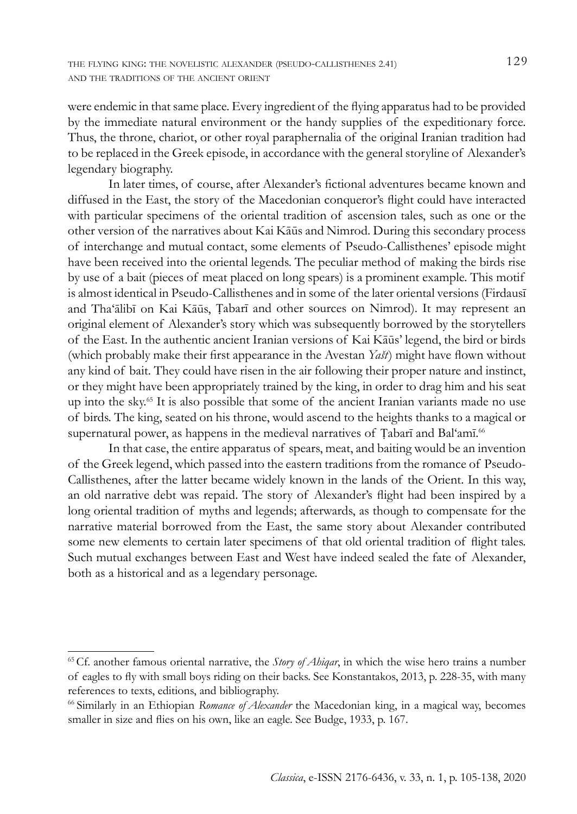were endemic in that same place. Every ingredient of the flying apparatus had to be provided by the immediate natural environment or the handy supplies of the expeditionary force. Thus, the throne, chariot, or other royal paraphernalia of the original Iranian tradition had to be replaced in the Greek episode, in accordance with the general storyline of Alexander's legendary biography.

In later times, of course, after Alexander's fictional adventures became known and diffused in the East, the story of the Macedonian conqueror's flight could have interacted with particular specimens of the oriental tradition of ascension tales, such as one or the other version of the narratives about Kai Kāūs and Nimrod. During this secondary process of interchange and mutual contact, some elements of Pseudo-Callisthenes' episode might have been received into the oriental legends. The peculiar method of making the birds rise by use of a bait (pieces of meat placed on long spears) is a prominent example. This motif is almost identical in Pseudo-Callisthenes and in some of the later oriental versions (Firdausī and Tha'ālibī on Kai Kāūs, Ṭabarī and other sources on Nimrod). It may represent an original element of Alexander's story which was subsequently borrowed by the storytellers of the East. In the authentic ancient Iranian versions of Kai Kāūs' legend, the bird or birds (which probably make their first appearance in the Avestan *Yašt*) might have flown without any kind of bait. They could have risen in the air following their proper nature and instinct, or they might have been appropriately trained by the king, in order to drag him and his seat up into the sky.65 It is also possible that some of the ancient Iranian variants made no use of birds. The king, seated on his throne, would ascend to the heights thanks to a magical or supernatural power, as happens in the medieval narratives of Tabarī and Bal'amī.<sup>66</sup>

In that case, the entire apparatus of spears, meat, and baiting would be an invention of the Greek legend, which passed into the eastern traditions from the romance of Pseudo-Callisthenes, after the latter became widely known in the lands of the Orient. In this way, an old narrative debt was repaid. The story of Alexander's flight had been inspired by a long oriental tradition of myths and legends; afterwards, as though to compensate for the narrative material borrowed from the East, the same story about Alexander contributed some new elements to certain later specimens of that old oriental tradition of flight tales. Such mutual exchanges between East and West have indeed sealed the fate of Alexander, both as a historical and as a legendary personage.

<sup>65</sup>Cf. another famous oriental narrative, the *Story of Ahiqar*, in which the wise hero trains a number of eagles to fly with small boys riding on their backs. See Konstantakos, 2013, p. 228-35, with many references to texts, editions, and bibliography.

<sup>66</sup>Similarly in an Ethiopian *Romance of Alexander* the Macedonian king, in a magical way, becomes smaller in size and flies on his own, like an eagle. See Budge, 1933, p. 167.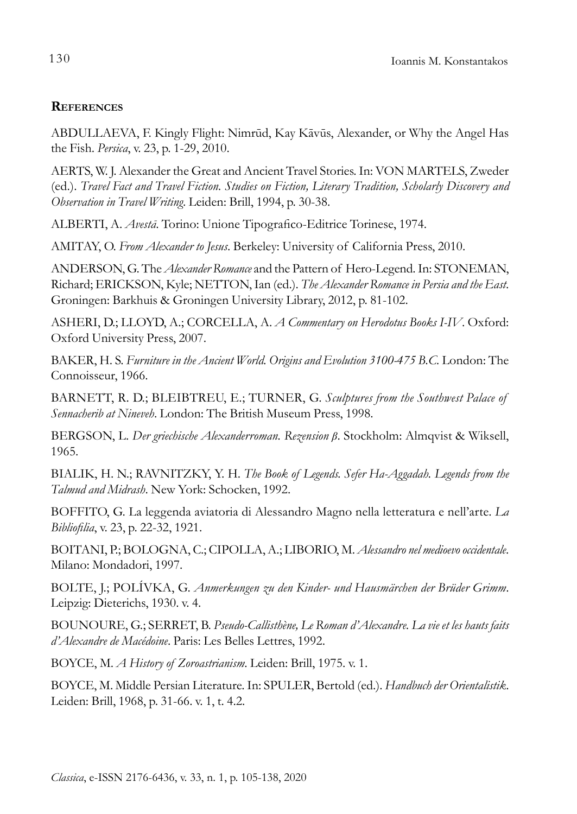# **References**

ABDULLAEVA, F. Kingly Flight: Nimrūd, Kay Kāvūs, Alexander, or Why the Angel Has the Fish. *Persica*, v. 23, p. 1-29, 2010.

AERTS, W. J. Alexander the Great and Ancient Travel Stories. In: VON MARTELS, Zweder (ed.). *Travel Fact and Travel Fiction. Studies on Fiction, Literary Tradition, Scholarly Discovery and Observation in Travel Writing*. Leiden: Brill, 1994, p. 30-38.

ALBERTI, A. *Avestā*. Torino: Unione Tipografico-Editrice Torinese, 1974.

AMITAY, O. *From Alexander to Jesus*. Berkeley: University of California Press, 2010.

ANDERSON, G. The *Alexander Romance* and the Pattern of Hero-Legend. In: STONEMAN, Richard; ERICKSON, Kyle; NETTON, Ian (ed.). *The Alexander Romance in Persia and the East*. Groningen: Barkhuis & Groningen University Library, 2012, p. 81-102.

ASHERI, D.; LLOYD, A.; CORCELLA, A. *A Commentary on Herodotus Books I-IV*. Oxford: Oxford University Press, 2007.

BAKER, H. S. *Furniture in the Ancient World. Origins and Evolution 3100-475 B.C.* London: The Connoisseur, 1966.

BARNETT, R. D.; BLEIBTREU, E.; TURNER, G. *Sculptures from the Southwest Palace of Sennacherib at Nineveh*. London: The British Museum Press, 1998.

BERGSON, L. *Der griechische Alexanderroman. Rezension β*. Stockholm: Almqvist & Wiksell, 1965.

BIALIK, H. N.; RAVNITZKY, Y. H. *The Book of Legends. Sefer Ha-Aggadah. Legends from the Talmud and Midrash*. New York: Schocken, 1992.

BOFFITO, G. La leggenda aviatoria di Alessandro Magno nella letteratura e nell'arte. *La Bibliofilia*, v. 23, p. 22-32, 1921.

BOITANI, P.; BOLOGNA, C.; CIPOLLA, A.; LIBORIO, M. *Alessandro nel medioevo occidentale*. Milano: Mondadori, 1997.

BOLTE, J.; POLÍVKA, G. *Anmerkungen zu den Kinder- und Hausmärchen der Brüder Grimm*. Leipzig: Dieterichs, 1930. v. 4.

BOUNOURE, G.; SERRET, B. *Pseudo-Callisthène, Le Roman d'Alexandre. La vie et les hauts faits d'Alexandre de Macédoine*. Paris: Les Belles Lettres, 1992.

BOYCE, M. *A History of Zoroastrianism*. Leiden: Brill, 1975. v. 1.

BOYCE, M. Middle Persian Literature. In: SPULER, Bertold (ed.). *Handbuch der Orientalistik*. Leiden: Brill, 1968, p. 31-66. v. 1, t. 4.2.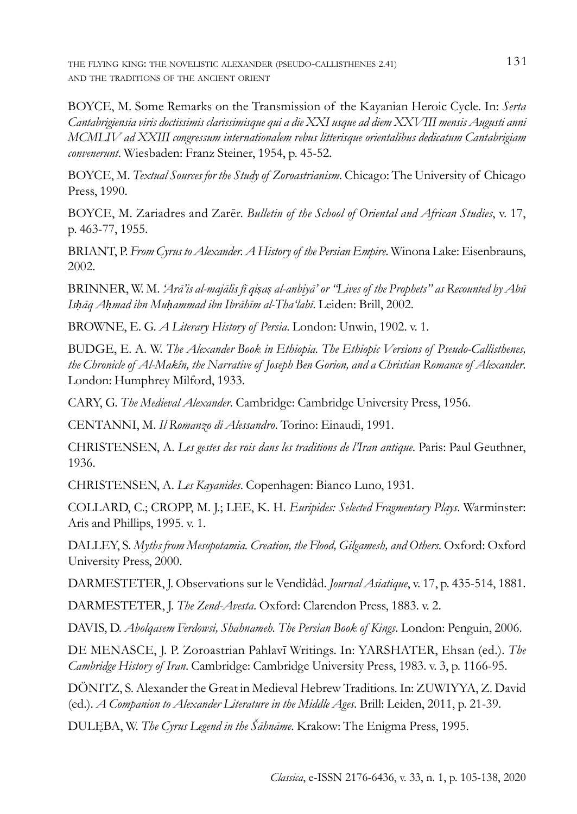the flying king: the novelistic alexander (pseudo-callisthenes 2.41) 131 and the traditions of the ancient orient

BOYCE, M. Some Remarks on the Transmission of the Kayanian Heroic Cycle. In: *Serta Cantabrigiensia viris doctissimis clarissimisque qui a die XXI usque ad diem XXVIII mensis Augusti anni MCMLIV ad XXIII congressum internationalem rebus litterisque orientalibus dedicatum Cantabrigiam convenerunt*. Wiesbaden: Franz Steiner, 1954, p. 45-52.

BOYCE, M. *Textual Sources for the Study of Zoroastrianism*. Chicago: The University of Chicago Press, 1990.

BOYCE, M. Zariadres and Zarēr. *Bulletin of the School of Oriental and African Studies*, v. 17, p. 463-77, 1955.

BRIANT, P. *From Cyrus to Alexander. A History of the Persian Empire*. Winona Lake: Eisenbrauns, 2002.

BRINNER, W. M. *'Arā'is al-majālis fī qiṣaṣ al-anbiyā' or "Lives of the Prophets" as Recounted by Abū Isḥāq Aḥmad ibn Muḥammad ibn Ibrāhīm al-Tha'labī*. Leiden: Brill, 2002.

BROWNE, E. G. *A Literary History of Persia*. London: Unwin, 1902. v. 1.

BUDGE, E. A. W. *The Alexander Book in Ethiopia. The Ethiopic Versions of Pseudo-Callisthenes, the Chronicle of Al-Makîn, the Narrative of Joseph Ben Gorion, and a Christian Romance of Alexander*. London: Humphrey Milford, 1933.

CARY, G. *The Medieval Alexander*. Cambridge: Cambridge University Press, 1956.

CENTANNI, M. *Il Romanzo di Alessandro*. Torino: Einaudi, 1991.

CHRISTENSEN, A. *Les gestes des rois dans les traditions de l'Iran antique*. Paris: Paul Geuthner, 1936.

CHRISTENSEN, A. *Les Kayanides*. Copenhagen: Bianco Luno, 1931.

COLLARD, C.; CROPP, M. J.; LEE, K. H. *Euripides: Selected Fragmentary Plays*. Warminster: Aris and Phillips, 1995. v. 1.

DALLEY, S. *Myths from Mesopotamia. Creation, the Flood, Gilgamesh, and Others*. Oxford: Oxford University Press, 2000.

DARMESTETER, J. Observations sur le Vendîdâd. *Journal Asiatique*, v. 17, p. 435-514, 1881.

DARMESTETER, J. *The Zend-Avesta*. Oxford: Clarendon Press, 1883. v. 2.

DAVIS, D. *Abolqasem Ferdowsi, Shahnameh. The Persian Book of Kings*. London: Penguin, 2006.

DE MENASCE, J. P. Zoroastrian Pahlavī Writings. In: YARSHATER, Ehsan (ed.). *The Cambridge History of Iran*. Cambridge: Cambridge University Press, 1983. v. 3, p. 1166-95.

DÖNITZ, S. Alexander the Great in Medieval Hebrew Traditions. In: ZUWIYYA, Z. David (ed.). *A Companion to Alexander Literature in the Middle Ages*. Brill: Leiden, 2011, p. 21-39.

DULĘBA, W. *The Cyrus Legend in the Šāhnāme*. Krakow: The Enigma Press, 1995.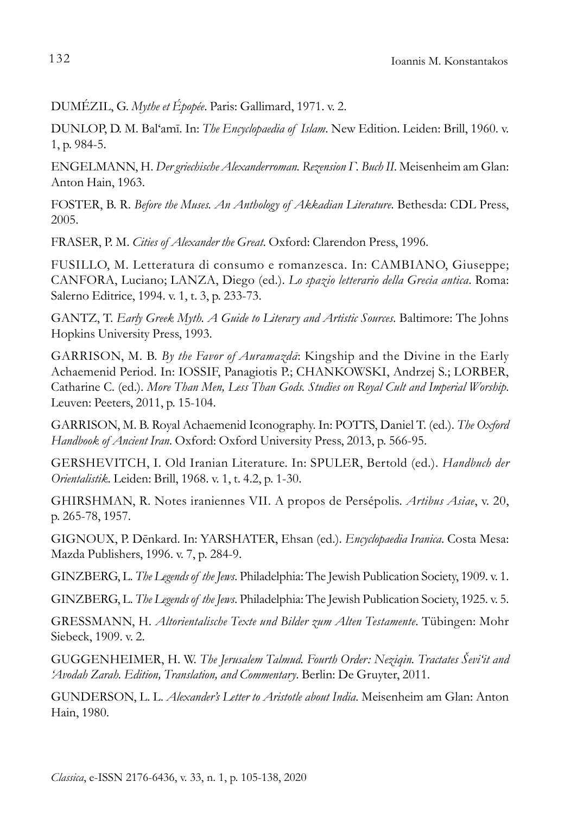DUMÉZIL, G. *Mythe et Épopée*. Paris: Gallimard, 1971. v. 2.

DUNLOP, D. M. Bal'amī. In: *The Encyclopaedia of Islam*. New Edition. Leiden: Brill, 1960. v. 1, p. 984-5.

ENGELMANN, H. *Der griechische Alexanderroman. Rezension Γ. Buch II*. Meisenheim am Glan: Anton Hain, 1963.

FOSTER, B. R. *Before the Muses. An Anthology of Akkadian Literature*. Bethesda: CDL Press, 2005.

FRASER, P. M. *Cities of Alexander the Great*. Oxford: Clarendon Press, 1996.

FUSILLO, M. Letteratura di consumo e romanzesca. In: CAMBIANO, Giuseppe; CANFORA, Luciano; LANZA, Diego (ed.). *Lo spazio letterario della Grecia antica*. Roma: Salerno Editrice, 1994. v. 1, t. 3, p. 233-73.

GANTZ, T. *Early Greek Myth. A Guide to Literary and Artistic Sources*. Baltimore: The Johns Hopkins University Press, 1993.

GARRISON, M. B. *By the Favor of Auramazdā*: Kingship and the Divine in the Early Achaemenid Period. In: IOSSIF, Panagiotis P.; CHANKOWSKI, Andrzej S.; LORBER, Catharine C. (ed.). *More Than Men, Less Than Gods. Studies on Royal Cult and Imperial Worship*. Leuven: Peeters, 2011, p. 15-104.

GARRISON, M. B. Royal Achaemenid Iconography. In: POTTS, Daniel T. (ed.). *The Oxford Handbook of Ancient Iran*. Oxford: Oxford University Press, 2013, p. 566-95.

GERSHEVITCH, I. Old Iranian Literature. In: SPULER, Bertold (ed.). *Handbuch der Orientalistik*. Leiden: Brill, 1968. v. 1, t. 4.2, p. 1-30.

GHIRSHMAN, R. Notes iraniennes VII. A propos de Persépolis. *Artibus Asiae*, v. 20, p. 265-78, 1957.

GIGNOUX, P. Dēnkard. In: YARSHATER, Ehsan (ed.). *Encyclopaedia Iranica*. Costa Mesa: Mazda Publishers, 1996. v. 7, p. 284-9.

GINZBERG, L. *The Legends of the Jews*. Philadelphia: The Jewish Publication Society, 1909. v. 1.

GINZBERG, L. *The Legends of the Jews*. Philadelphia: The Jewish Publication Society, 1925. v. 5.

GRESSMANN, H. *Altorientalische Texte und Bilder zum Alten Testamente*. Tübingen: Mohr Siebeck, 1909. v. 2.

GUGGENHEIMER, H. W. *The Jerusalem Talmud. Fourth Order: Neziqin. Tractates Ševi'it and 'Avodah Zarah. Edition, Translation, and Commentary*. Berlin: De Gruyter, 2011.

GUNDERSON, L. L. *Alexander's Letter to Aristotle about India*. Meisenheim am Glan: Anton Hain, 1980.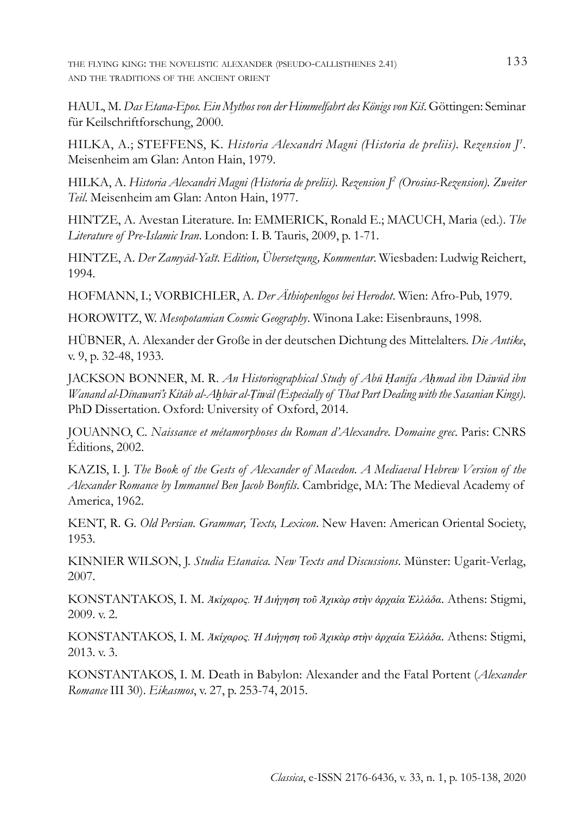the flying king: the novelistic alexander (pseudo-callisthenes 2.41) 133 and the traditions of the ancient orient

HAUL, M. *Das Etana-Epos. Ein Mythos von der Himmelfahrt des Königs von Kiš*. Göttingen: Seminar für Keilschriftforschung, 2000.

HILKA, A.; STEFFENS, K. *Historia Alexandri Magni (Historia de preliis). Rezension J1* . Meisenheim am Glan: Anton Hain, 1979.

HILKA, A. *Historia Alexandri Magni (Historia de preliis). Rezension J2 (Orosius-Rezension). Zweiter Teil*. Meisenheim am Glan: Anton Hain, 1977.

HINTZE, A. Avestan Literature. In: EMMERICK, Ronald E.; MACUCH, Maria (ed.). *The Literature of Pre-Islamic Iran*. London: I. B. Tauris, 2009, p. 1-71.

HINTZE, A. *Der Zamyād-Yašt. Edition, Übersetzung, Kommentar*. Wiesbaden: Ludwig Reichert, 1994.

HOFMANN, I.; VORBICHLER, A. *Der Äthiopenlogos bei Herodot*. Wien: Afro-Pub, 1979.

HOROWITZ, W. *Mesopotamian Cosmic Geography*. Winona Lake: Eisenbrauns, 1998.

HÜBNER, A. Alexander der Große in der deutschen Dichtung des Mittelalters. *Die Antike*, v. 9, p. 32-48, 1933.

JACKSON BONNER, M. R. *An Historiographical Study of Abū Ḥanīfa Aḥmad ibn Dāwūd ibn Wanand al-Dīnawarī's Kitāb al-Aḫbār al-Ṭiwāl (Especially of That Part Dealing with the Sasanian Kings)*. PhD Dissertation. Oxford: University of Oxford, 2014.

JOUANNO, C. *Naissance et métamorphoses du Roman d'Alexandre. Domaine grec*. Paris: CNRS Éditions, 2002.

KAZIS, I. J. *The Book of the Gests of Alexander of Macedon. A Mediaeval Hebrew Version of the Alexander Romance by Immanuel Ben Jacob Bonfils*. Cambridge, MA: The Medieval Academy of America, 1962.

KENT, R. G. *Old Persian. Grammar, Texts, Lexicon*. New Haven: American Oriental Society, 1953.

KINNIER WILSON, J. *Studia Etanaica. New Texts and Discussions*. Münster: Ugarit-Verlag, 2007.

KONSTANTAKOS, I. M. *Ἀκίχαρος. Ἡ Διήγηση τοῦ Ἀχικὰρ στὴν ἀρχαία Ἑλλάδα*. Athens: Stigmi, 2009. v. 2.

KONSTANTAKOS, I. M. *Ἀκίχαρος. Ἡ Διήγηση τοῦ Ἀχικὰρ στὴν ἀρχαία Ἑλλάδα*. Athens: Stigmi, 2013. v. 3.

KONSTANTAKOS, I. M. Death in Babylon: Alexander and the Fatal Portent (*Alexander Romance* III 30). *Eikasmos*, v. 27, p. 253-74, 2015.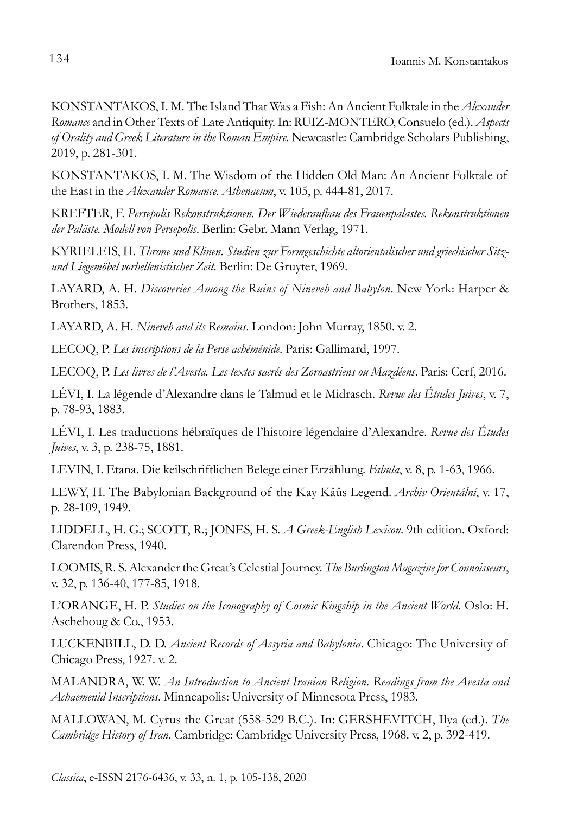KONSTANTAKOS, I. M. The Island That Was a Fish: An Ancient Folktale in the *Alexander Romance* and in Other Texts of Late Antiquity. In: RUIZ-MONTERO, Consuelo (ed.). *Aspects of Orality and Greek Literature in the Roman Empire*. Newcastle: Cambridge Scholars Publishing, 2019, p. 281-301.

KONSTANTAKOS, I. M. The Wisdom of the Hidden Old Man: An Ancient Folktale of the East in the *Alexander Romance*. *Athenaeum*, v. 105, p. 444-81, 2017.

KREFTER, F. *Persepolis Rekonstruktionen. Der Wiederaufbau des Frauenpalastes. Rekonstruktionen der Paläste. Modell von Persepolis*. Berlin: Gebr. Mann Verlag, 1971.

KYRIELEIS, H. *Throne und Klinen. Studien zur Formgeschichte altorientalischer und griechischer Sitzund Liegemöbel vorhellenistischer Zeit*. Berlin: De Gruyter, 1969.

LAYARD, A. H. *Discoveries Among the Ruins of Nineveh and Babylon*. New York: Harper & Brothers, 1853.

LAYARD, A. H. *Nineveh and its Remains*. London: John Murray, 1850. v. 2.

LECOQ, P. *Les inscriptions de la Perse achéménide*. Paris: Gallimard, 1997.

LECOQ, P. *Les livres de l'Avesta. Les textes sacrés des Zoroastriens ou Mazdéens*. Paris: Cerf, 2016.

LÉVI, I. La légende d'Alexandre dans le Talmud et le Midrasch. *Revue des Études Juives*, v. 7, p. 78-93, 1883.

LÉVI, I. Les traductions hébraïques de l'histoire légendaire d'Alexandre. *Revue des Études Juives*, v. 3, p. 238-75, 1881.

LEVIN, I. Etana. Die keilschriftlichen Belege einer Erzählung. *Fabula*, v. 8, p. 1-63, 1966.

LEWY, H. The Babylonian Background of the Kay Kâûs Legend. *Archiv Orientální*, v. 17, p. 28-109, 1949.

LIDDELL, H. G.; SCOTT, R.; JONES, H. S. *A Greek-English Lexicon*. 9th edition. Oxford: Clarendon Press, 1940.

LOOMIS, R. S. Alexander the Great's Celestial Journey. *The Burlington Magazine for Connoisseurs*, v. 32, p. 136-40, 177-85, 1918.

L'ORANGE, H. P. *Studies on the Iconography of Cosmic Kingship in the Ancient World*. Oslo: H. Aschehoug & Co., 1953.

LUCKENBILL, D. D. *Ancient Records of Assyria and Babylonia*. Chicago: The University of Chicago Press, 1927. v. 2.

MALANDRA, W. W. *An Introduction to Ancient Iranian Religion. Readings from the Avesta and Achaemenid Inscriptions*. Minneapolis: University of Minnesota Press, 1983.

MALLOWAN, M. Cyrus the Great (558-529 B.C.). In: GERSHEVITCH, Ilya (ed.). *The Cambridge History of Iran*. Cambridge: Cambridge University Press, 1968. v. 2, p. 392-419.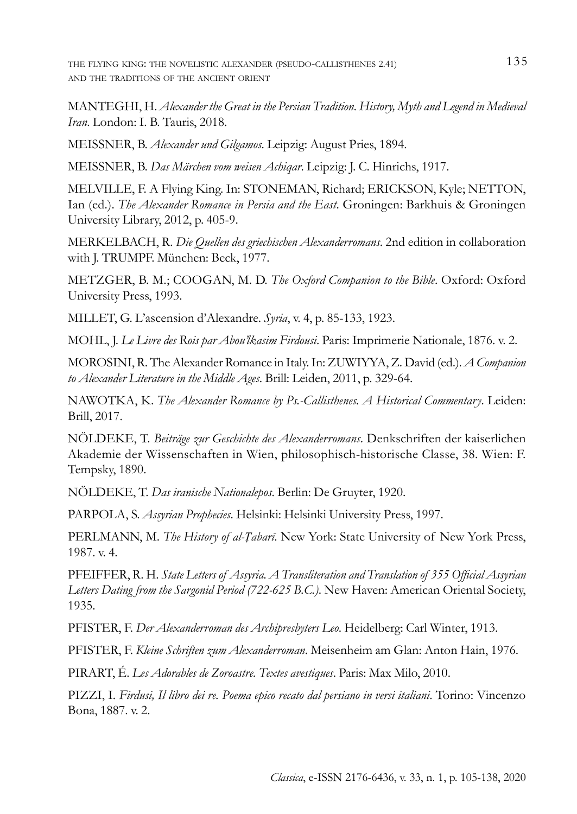the flying king: the novelistic alexander (pseudo-callisthenes 2.41) 135 and the traditions of the ancient orient

MANTEGHI, H. *Alexander the Great in the Persian Tradition. History, Myth and Legend in Medieval Iran*. London: I. B. Tauris, 2018.

MEISSNER, B. *Alexander und Gilgamos*. Leipzig: August Pries, 1894.

MEISSNER, B. *Das Märchen vom weisen Achiqar*. Leipzig: J. C. Hinrichs, 1917.

MELVILLE, F. A Flying King. In: STONEMAN, Richard; ERICKSON, Kyle; NETTON, Ian (ed.). *The Alexander Romance in Persia and the East*. Groningen: Barkhuis & Groningen University Library, 2012, p. 405-9.

MERKELBACH, R. *Die Quellen des griechischen Alexanderromans*. 2nd edition in collaboration with J. TRUMPF. München: Beck, 1977.

METZGER, B. M.; COOGAN, M. D. *The Oxford Companion to the Bible*. Oxford: Oxford University Press, 1993.

MILLET, G. L'ascension d'Alexandre. *Syria*, v. 4, p. 85-133, 1923.

MOHL, J. *Le Livre des Rois par Abou'lkasim Firdousi*. Paris: Imprimerie Nationale, 1876. v. 2.

MOROSINI, R. The Alexander Romance in Italy. In: ZUWIYYA, Z. David (ed.). *A Companion to Alexander Literature in the Middle Ages*. Brill: Leiden, 2011, p. 329-64.

NAWOTKA, K. *The Alexander Romance by Ps.-Callisthenes. A Historical Commentary*. Leiden: Brill, 2017.

NÖLDEKE, T. *Beiträge zur Geschichte des Alexanderromans*. Denkschriften der kaiserlichen Akademie der Wissenschaften in Wien, philosophisch-historische Classe, 38. Wien: F. Tempsky, 1890.

NÖLDEKE, T. *Das iranische Nationalepos*. Berlin: De Gruyter, 1920.

PARPOLA, S. *Assyrian Prophecies*. Helsinki: Helsinki University Press, 1997.

PERLMANN, M. *The History of al-Ṭabarī*. New York: State University of New York Press, 1987. v. 4.

PFEIFFER, R. H. *State Letters of Assyria. A Transliteration and Translation of 355 Official Assyrian Letters Dating from the Sargonid Period (722-625 B.C.)*. New Haven: American Oriental Society, 1935.

PFISTER, F. *Der Alexanderroman des Archipresbyters Leo*. Heidelberg: Carl Winter, 1913.

PFISTER, F. *Kleine Schriften zum Alexanderroman*. Meisenheim am Glan: Anton Hain, 1976.

PIRART, É. *Les Adorables de Zoroastre. Textes avestiques*. Paris: Max Milo, 2010.

PIZZI, I. *Firdusi, Il libro dei re. Poema epico recato dal persiano in versi italiani*. Torino: Vincenzo Bona, 1887. v. 2.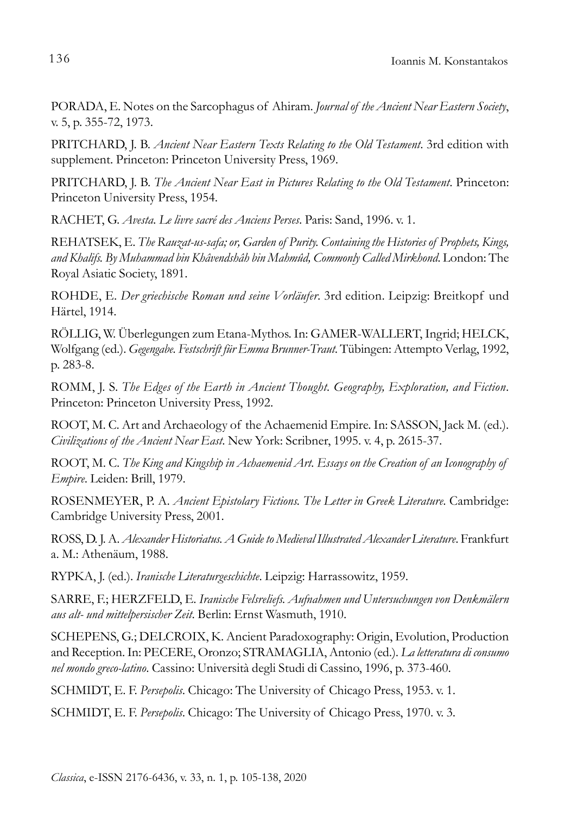PORADA, E. Notes on the Sarcophagus of Ahiram. *Journal of the Ancient Near Eastern Society*, v. 5, p. 355-72, 1973.

PRITCHARD, J. B. *Ancient Near Eastern Texts Relating to the Old Testament*. 3rd edition with supplement. Princeton: Princeton University Press, 1969.

PRITCHARD, J. B. *The Ancient Near East in Pictures Relating to the Old Testament*. Princeton: Princeton University Press, 1954.

RACHET, G. *Avesta. Le livre sacré des Anciens Perses*. Paris: Sand, 1996. v. 1.

REHATSEK, E. *The Rauzat-us-safa; or, Garden of Purity. Containing the Histories of Prophets, Kings, and Khalifs. By Muhammad bin Khâvendshâh bin Mahmûd, Commonly Called Mirkhond*. London: The Royal Asiatic Society, 1891.

ROHDE, E. *Der griechische Roman und seine Vorläufer*. 3rd edition. Leipzig: Breitkopf und Härtel, 1914.

RÖLLIG, W. Überlegungen zum Etana-Mythos. In: GAMER-WALLERT, Ingrid; HELCK, Wolfgang (ed.). *Gegengabe. Festschrift für Emma Brunner-Traut*. Tübingen: Attempto Verlag, 1992, p. 283-8.

ROMM, J. S. *The Edges of the Earth in Ancient Thought. Geography, Exploration, and Fiction*. Princeton: Princeton University Press, 1992.

ROOT, M. C. Art and Archaeology of the Achaemenid Empire. In: SASSON, Jack M. (ed.). *Civilizations of the Ancient Near East*. New York: Scribner, 1995. v. 4, p. 2615-37.

ROOT, M. C. *The King and Kingship in Achaemenid Art. Essays on the Creation of an Iconography of Empire*. Leiden: Brill, 1979.

ROSENMEYER, P. A. *Ancient Epistolary Fictions. The Letter in Greek Literature*. Cambridge: Cambridge University Press, 2001.

ROSS, D. J. A. *Alexander Historiatus. A Guide to Medieval Illustrated Alexander Literature*. Frankfurt a. M.: Athenäum, 1988.

RYPKA, J. (ed.). *Iranische Literaturgeschichte*. Leipzig: Harrassowitz, 1959.

SARRE, F.; HERZFELD, E. *Iranische Felsreliefs. Aufnahmen und Untersuchungen von Denkmälern aus alt- und mittelpersischer Zeit*. Berlin: Ernst Wasmuth, 1910.

SCHEPENS, G.; DELCROIX, K. Ancient Paradoxography: Origin, Evolution, Production and Reception. In: PECERE, Oronzo; STRAMAGLIA, Antonio (ed.). *La letteratura di consumo nel mondo greco-latino*. Cassino: Università degli Studi di Cassino, 1996, p. 373-460.

SCHMIDT, E. F. *Persepolis*. Chicago: The University of Chicago Press, 1953. v. 1.

SCHMIDT, E. F. *Persepolis*. Chicago: The University of Chicago Press, 1970. v. 3.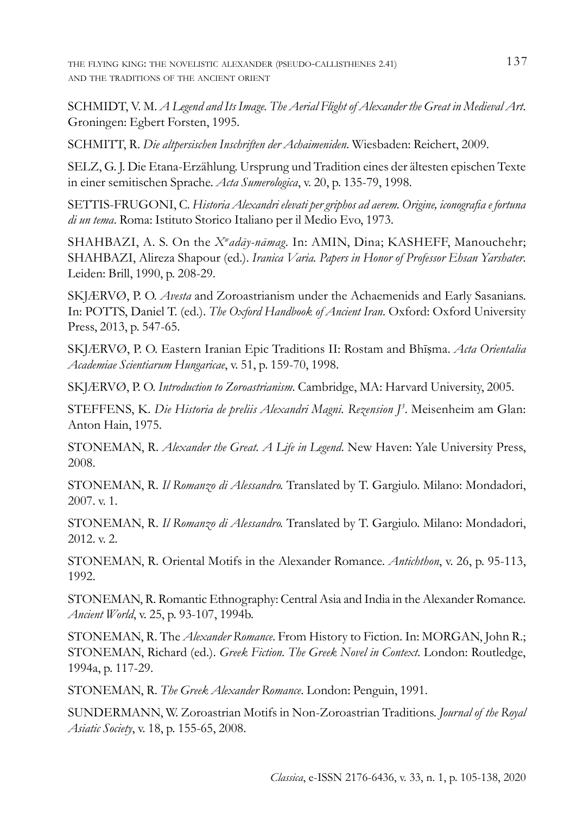the flying king: the novelistic alexander (pseudo-callisthenes 2.41) 137 and the traditions of the ancient orient

SCHMIDT, V. M. *A Legend and Its Image. The Aerial Flight of Alexander the Great in Medieval Art*. Groningen: Egbert Forsten, 1995.

SCHMITT, R. *Die altpersischen Inschriften der Achaimeniden*. Wiesbaden: Reichert, 2009.

SELZ, G. J. Die Etana-Erzählung. Ursprung und Tradition eines der ältesten epischen Texte in einer semitischen Sprache. *Acta Sumerologica*, v. 20, p. 135-79, 1998.

SETTIS-FRUGONI, C. *Historia Alexandri elevati per griphos ad aerem. Origine, iconografia e fortuna di un tema*. Roma: Istituto Storico Italiano per il Medio Evo, 1973.

SHAHBAZI, A. S. On the *Xw adāy-nāmag*. In: AMIN, Dina; KASHEFF, Manouchehr; SHAHBAZI, Alireza Shapour (ed.). *Iranica Varia. Papers in Honor of Professor Ehsan Yarshater*. Leiden: Brill, 1990, p. 208-29.

SKJÆRVØ, P. O. *Avesta* and Zoroastrianism under the Achaemenids and Early Sasanians. In: POTTS, Daniel T. (ed.). *The Oxford Handbook of Ancient Iran*. Oxford: Oxford University Press, 2013, p. 547-65.

SKJÆRVØ, P. O. Eastern Iranian Epic Traditions II: Rostam and Bhīṣma. *Acta Orientalia Academiae Scientiarum Hungaricae*, v. 51, p. 159-70, 1998.

SKJÆRVØ, P. O. *Introduction to Zoroastrianism*. Cambridge, MA: Harvard University, 2005.

STEFFENS, K. *Die Historia de preliis Alexandri Magni. Rezension J3* . Meisenheim am Glan: Anton Hain, 1975.

STONEMAN, R. *Alexander the Great. A Life in Legend*. New Haven: Yale University Press, 2008.

STONEMAN, R. *Il Romanzo di Alessandro.* Translated by T. Gargiulo. Milano: Mondadori, 2007. v. 1.

STONEMAN, R. *Il Romanzo di Alessandro.* Translated by T. Gargiulo. Milano: Mondadori, 2012. v. 2.

STONEMAN, R. Oriental Motifs in the Alexander Romance. *Antichthon*, v. 26, p. 95-113, 1992.

STONEMAN, R. Romantic Ethnography: Central Asia and India in the Alexander Romance. *Ancient World*, v. 25, p. 93-107, 1994b.

STONEMAN, R. The *Alexander Romance*. From History to Fiction. In: MORGAN, John R.; STONEMAN, Richard (ed.). *Greek Fiction. The Greek Novel in Context*. London: Routledge, 1994a, p. 117-29.

STONEMAN, R. *The Greek Alexander Romance*. London: Penguin, 1991.

SUNDERMANN, W. Zoroastrian Motifs in Non-Zoroastrian Traditions. *Journal of the Royal Asiatic Society*, v. 18, p. 155-65, 2008.